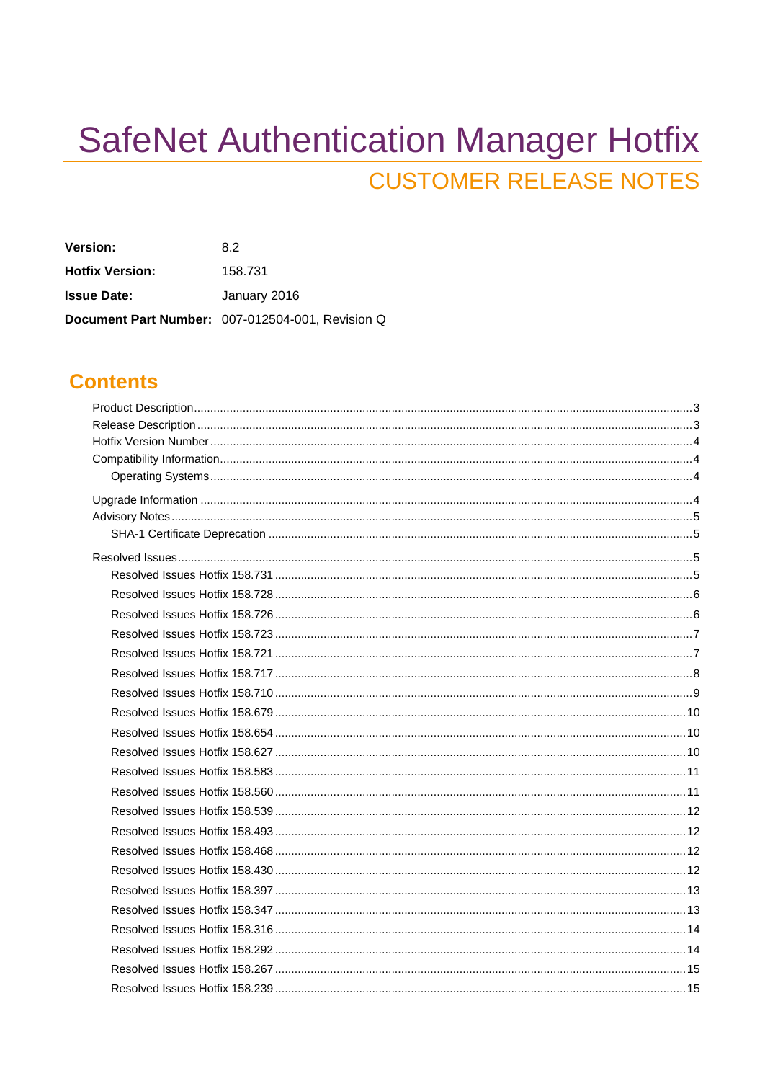# **SafeNet Authentication Manager Hotfix CUSTOMER RELEASE NOTES**

| <b>Version:</b>        | 82                                               |
|------------------------|--------------------------------------------------|
| <b>Hotfix Version:</b> | 158.731                                          |
| <b>Issue Date:</b>     | January 2016                                     |
|                        | Document Part Number: 007-012504-001, Revision Q |

### **Contents**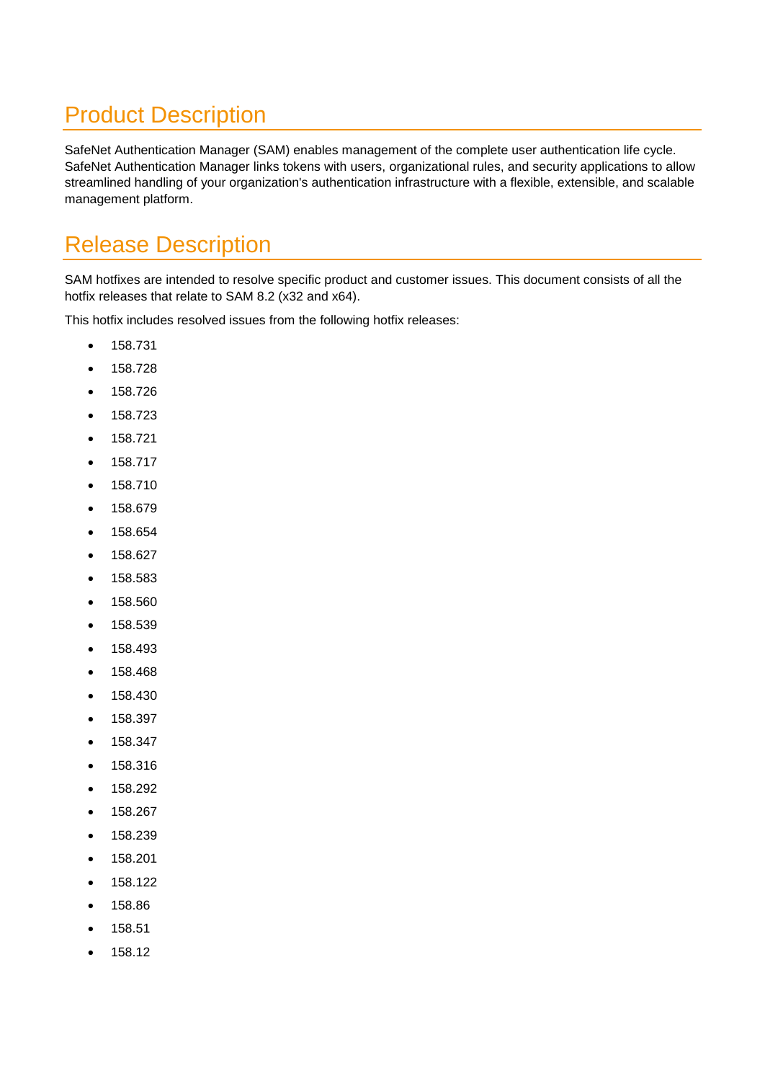# <span id="page-2-0"></span>Product Description

SafeNet Authentication Manager (SAM) enables management of the complete user authentication life cycle. SafeNet Authentication Manager links tokens with users, organizational rules, and security applications to allow streamlined handling of your organization's authentication infrastructure with a flexible, extensible, and scalable management platform.

## <span id="page-2-1"></span>Release Description

SAM hotfixes are intended to resolve specific product and customer issues. This document consists of all the hotfix releases that relate to SAM 8.2 (x32 and x64).

This hotfix includes resolved issues from the following hotfix releases:

- 158.731
- $158.728$
- 158.726
- 158.723
- 158.721
- 158.717
- 158.710
- 158.679
- 158.654
- 158.627
- 158.583
- 158.560
- 158.539
- 158.493
- 158.468
- 158.430
- 158.397
- 158.347
- 158.316
- 158.292
- 158.267
- 158.239
- 158.201
- 158.122
- 158.86
- 158.51
- 158.12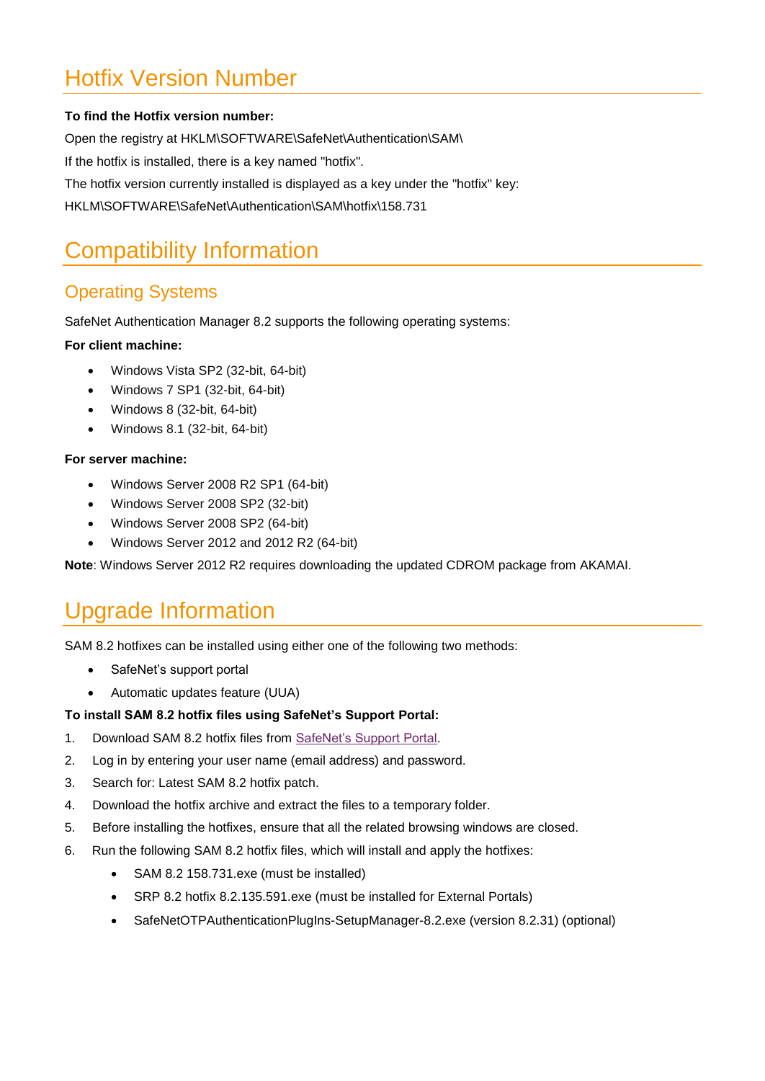# <span id="page-3-1"></span>Hotfix Version Number

#### **To find the Hotfix version number:**

Open the registry at HKLM\SOFTWARE\SafeNet\Authentication\SAM\ If the hotfix is installed, there is a key named "hotfix". The hotfix version currently installed is displayed as a key under the "hotfix" key: HKLM\SOFTWARE\SafeNet\Authentication\SAM\hotfix\158.731

# <span id="page-3-2"></span>Compatibility Information

#### <span id="page-3-0"></span>Operating Systems

SafeNet Authentication Manager 8.2 supports the following operating systems:

#### **For client machine:**

- Windows Vista SP2 (32-bit, 64-bit)
- Windows 7 SP1 (32-bit, 64-bit)
- Windows 8 (32-bit, 64-bit)
- Windows 8.1 (32-bit, 64-bit)

#### **For server machine:**

- Windows Server 2008 R2 SP1 (64-bit)
- Windows Server 2008 SP2 (32-bit)
- Windows Server 2008 SP2 (64-bit)
- Windows Server 2012 and 2012 R2 (64-bit)

**Note**: Windows Server 2012 R2 requires downloading the updated CDROM package from AKAMAI.

## <span id="page-3-3"></span>Upgrade Information

SAM 8.2 hotfixes can be installed using either one of the following two methods:

- SafeNet's support portal
- Automatic updates feature (UUA)

#### **To install SAM 8.2 hotfix files using SafeNet's Support Portal:**

- 1. Download SAM 8.2 hotfix files from [SafeNet's Support Portal.](http://c3.safenet-inc.com/)
- 2. Log in by entering your user name (email address) and password.
- 3. Search for: Latest SAM 8.2 hotfix patch.
- 4. Download the hotfix archive and extract the files to a temporary folder.
- 5. Before installing the hotfixes, ensure that all the related browsing windows are closed.
- 6. Run the following SAM 8.2 hotfix files, which will install and apply the hotfixes:
	- SAM 8.2 158.731.exe (must be installed)
	- SRP 8.2 hotfix 8.2.135.591.exe (must be installed for External Portals)
	- SafeNetOTPAuthenticationPlugIns-SetupManager-8.2.exe (version 8.2.31) (optional)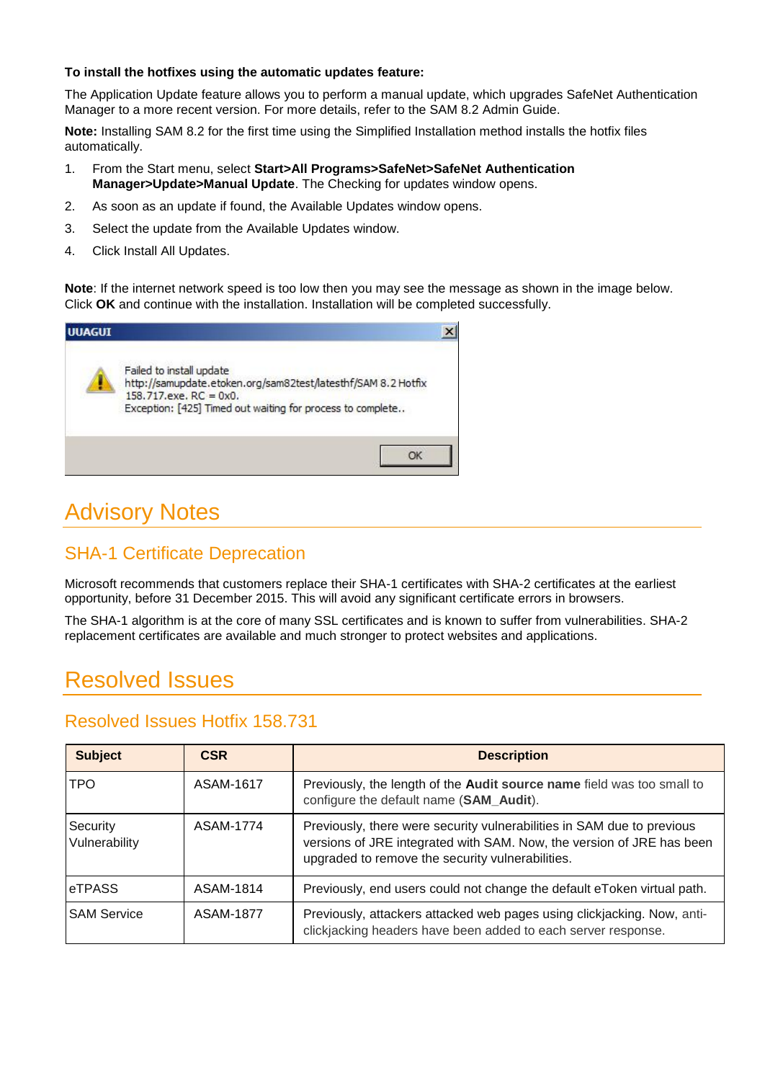#### **To install the hotfixes using the automatic updates feature:**

The Application Update feature allows you to perform a manual update, which upgrades SafeNet Authentication Manager to a more recent version. For more details, refer to the SAM 8.2 Admin Guide.

**Note:** Installing SAM 8.2 for the first time using the Simplified Installation method installs the hotfix files automatically.

- 1. From the Start menu, select **Start>All Programs>SafeNet>SafeNet Authentication Manager>Update>Manual Update**. The Checking for updates window opens.
- 2. As soon as an update if found, the Available Updates window opens.
- 3. Select the update from the Available Updates window.
- 4. Click Install All Updates.

**Note**: If the internet network speed is too low then you may see the message as shown in the image below. Click **OK** and continue with the installation. Installation will be completed successfully.



# <span id="page-4-2"></span>Advisory Notes

#### <span id="page-4-0"></span>SHA-1 Certificate Deprecation

Microsoft recommends that customers replace their SHA-1 certificates with SHA-2 certificates at the earliest opportunity, before 31 December 2015. This will avoid any significant certificate errors in browsers.

The SHA-1 algorithm is at the core of many SSL certificates and is known to suffer from vulnerabilities. SHA-2 replacement certificates are available and much stronger to protect websites and applications.

## <span id="page-4-3"></span>Resolved Issues

<span id="page-4-1"></span>

| <b>Subject</b>            | <b>CSR</b> | <b>Description</b>                                                                                                                                                                                  |
|---------------------------|------------|-----------------------------------------------------------------------------------------------------------------------------------------------------------------------------------------------------|
| TPO.                      | ASAM-1617  | Previously, the length of the Audit source name field was too small to<br>configure the default name (SAM_Audit).                                                                                   |
| Security<br>Vulnerability | ASAM-1774  | Previously, there were security vulnerabilities in SAM due to previous<br>versions of JRE integrated with SAM. Now, the version of JRE has been<br>upgraded to remove the security vulnerabilities. |
| <b>eTPASS</b>             | ASAM-1814  | Previously, end users could not change the default eToken virtual path.                                                                                                                             |
| <b>SAM Service</b>        | ASAM-1877  | Previously, attackers attacked web pages using clickjacking. Now, anti-<br>clickjacking headers have been added to each server response.                                                            |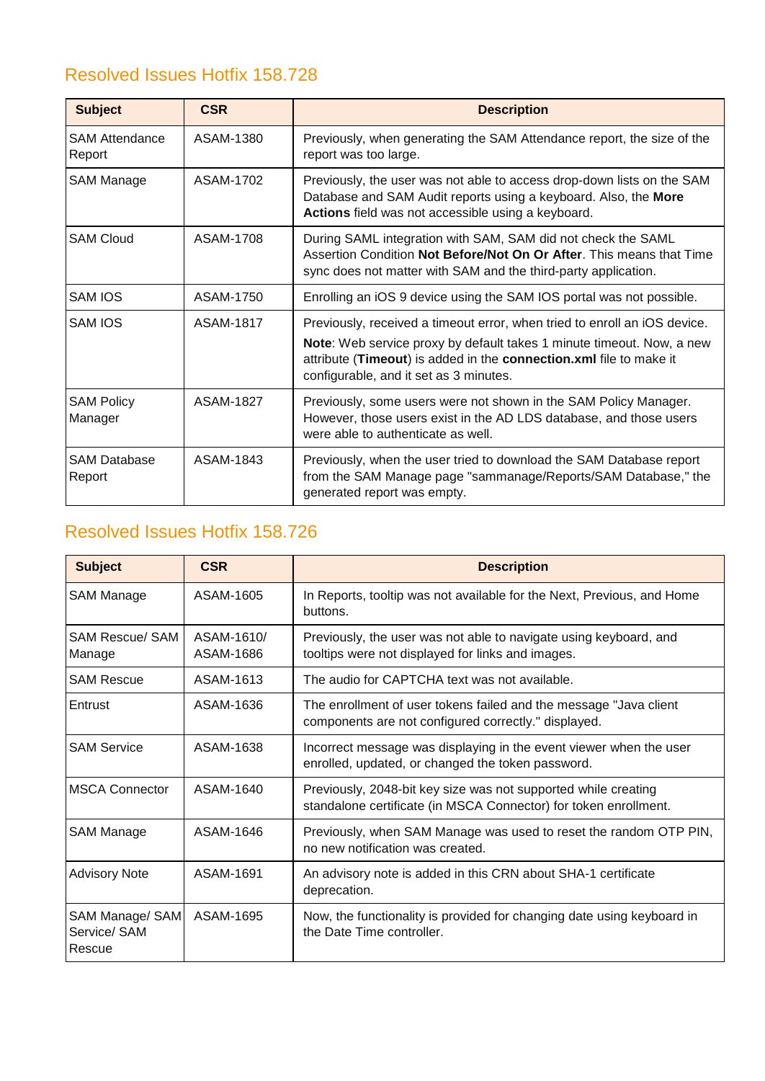<span id="page-5-0"></span>

| <b>Subject</b>                  | <b>CSR</b> | <b>Description</b>                                                                                                                                                                                                                                                        |
|---------------------------------|------------|---------------------------------------------------------------------------------------------------------------------------------------------------------------------------------------------------------------------------------------------------------------------------|
| <b>SAM Attendance</b><br>Report | ASAM-1380  | Previously, when generating the SAM Attendance report, the size of the<br>report was too large.                                                                                                                                                                           |
| SAM Manage                      | ASAM-1702  | Previously, the user was not able to access drop-down lists on the SAM<br>Database and SAM Audit reports using a keyboard. Also, the More<br>Actions field was not accessible using a keyboard.                                                                           |
| <b>SAM Cloud</b>                | ASAM-1708  | During SAML integration with SAM, SAM did not check the SAML<br>Assertion Condition Not Before/Not On Or After. This means that Time<br>sync does not matter with SAM and the third-party application.                                                                    |
| <b>SAM IOS</b>                  | ASAM-1750  | Enrolling an iOS 9 device using the SAM IOS portal was not possible.                                                                                                                                                                                                      |
| SAM IOS                         | ASAM-1817  | Previously, received a timeout error, when tried to enroll an iOS device.<br><b>Note:</b> Web service proxy by default takes 1 minute timeout. Now, a new<br>attribute (Timeout) is added in the connection.xml file to make it<br>configurable, and it set as 3 minutes. |
| <b>SAM Policy</b><br>Manager    | ASAM-1827  | Previously, some users were not shown in the SAM Policy Manager.<br>However, those users exist in the AD LDS database, and those users<br>were able to authenticate as well.                                                                                              |
| <b>SAM Database</b><br>Report   | ASAM-1843  | Previously, when the user tried to download the SAM Database report<br>from the SAM Manage page "sammanage/Reports/SAM Database," the<br>generated report was empty.                                                                                                      |

<span id="page-5-1"></span>

| <b>Subject</b>                            | <b>CSR</b>              | <b>Description</b>                                                                                                                 |
|-------------------------------------------|-------------------------|------------------------------------------------------------------------------------------------------------------------------------|
| <b>SAM Manage</b>                         | ASAM-1605               | In Reports, tooltip was not available for the Next, Previous, and Home<br>buttons.                                                 |
| <b>SAM Rescue/ SAM</b><br>Manage          | ASAM-1610/<br>ASAM-1686 | Previously, the user was not able to navigate using keyboard, and<br>tooltips were not displayed for links and images.             |
| <b>SAM Rescue</b>                         | ASAM-1613               | The audio for CAPTCHA text was not available.                                                                                      |
| Entrust                                   | ASAM-1636               | The enrollment of user tokens failed and the message "Java client<br>components are not configured correctly." displayed.          |
| <b>SAM Service</b>                        | ASAM-1638               | Incorrect message was displaying in the event viewer when the user<br>enrolled, updated, or changed the token password.            |
| <b>MSCA Connector</b>                     | ASAM-1640               | Previously, 2048-bit key size was not supported while creating<br>standalone certificate (in MSCA Connector) for token enrollment. |
| <b>SAM Manage</b>                         | ASAM-1646               | Previously, when SAM Manage was used to reset the random OTP PIN,<br>no new notification was created.                              |
| <b>Advisory Note</b>                      | ASAM-1691               | An advisory note is added in this CRN about SHA-1 certificate<br>deprecation.                                                      |
| SAM Manage/ SAM<br>Service/ SAM<br>Rescue | ASAM-1695               | Now, the functionality is provided for changing date using keyboard in<br>the Date Time controller.                                |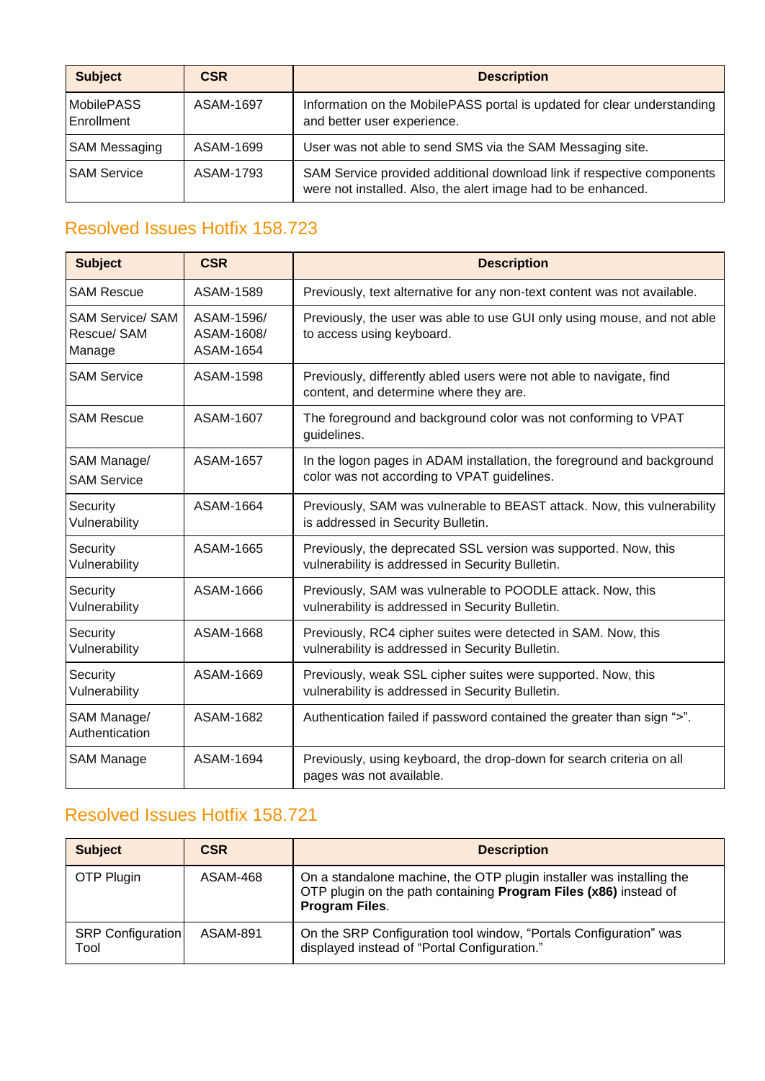| <b>Subject</b>                  | <b>CSR</b> | <b>Description</b>                                                                                                                      |
|---------------------------------|------------|-----------------------------------------------------------------------------------------------------------------------------------------|
| <b>MobilePASS</b><br>Enrollment | ASAM-1697  | Information on the MobilePASS portal is updated for clear understanding<br>and better user experience.                                  |
| <b>SAM Messaging</b>            | ASAM-1699  | User was not able to send SMS via the SAM Messaging site.                                                                               |
| <b>SAM Service</b>              | ASAM-1793  | SAM Service provided additional download link if respective components<br>were not installed. Also, the alert image had to be enhanced. |

<span id="page-6-0"></span>

| <b>Subject</b>                                   | <b>CSR</b>                            | <b>Description</b>                                                                                                    |
|--------------------------------------------------|---------------------------------------|-----------------------------------------------------------------------------------------------------------------------|
| <b>SAM Rescue</b>                                | ASAM-1589                             | Previously, text alternative for any non-text content was not available.                                              |
| <b>SAM Service/ SAM</b><br>Rescue/ SAM<br>Manage | ASAM-1596/<br>ASAM-1608/<br>ASAM-1654 | Previously, the user was able to use GUI only using mouse, and not able<br>to access using keyboard.                  |
| <b>SAM Service</b>                               | ASAM-1598                             | Previously, differently abled users were not able to navigate, find<br>content, and determine where they are.         |
| <b>SAM Rescue</b>                                | ASAM-1607                             | The foreground and background color was not conforming to VPAT<br>guidelines.                                         |
| SAM Manage/<br><b>SAM Service</b>                | ASAM-1657                             | In the logon pages in ADAM installation, the foreground and background<br>color was not according to VPAT guidelines. |
| Security<br>Vulnerability                        | ASAM-1664                             | Previously, SAM was vulnerable to BEAST attack. Now, this vulnerability<br>is addressed in Security Bulletin.         |
| Security<br>Vulnerability                        | ASAM-1665                             | Previously, the deprecated SSL version was supported. Now, this<br>vulnerability is addressed in Security Bulletin.   |
| Security<br>Vulnerability                        | ASAM-1666                             | Previously, SAM was vulnerable to POODLE attack. Now, this<br>vulnerability is addressed in Security Bulletin.        |
| Security<br>Vulnerability                        | ASAM-1668                             | Previously, RC4 cipher suites were detected in SAM. Now, this<br>vulnerability is addressed in Security Bulletin.     |
| Security<br>Vulnerability                        | ASAM-1669                             | Previously, weak SSL cipher suites were supported. Now, this<br>vulnerability is addressed in Security Bulletin.      |
| SAM Manage/<br>Authentication                    | ASAM-1682                             | Authentication failed if password contained the greater than sign ">".                                                |
| <b>SAM Manage</b>                                | ASAM-1694                             | Previously, using keyboard, the drop-down for search criteria on all<br>pages was not available.                      |

<span id="page-6-1"></span>

| <b>Subject</b>                   | <b>CSR</b>      | <b>Description</b>                                                                                                                                         |
|----------------------------------|-----------------|------------------------------------------------------------------------------------------------------------------------------------------------------------|
| OTP Plugin                       | ASAM-468        | On a standalone machine, the OTP plugin installer was installing the<br>OTP plugin on the path containing Program Files (x86) instead of<br>Program Files. |
| <b>SRP Configuration</b><br>Tool | <b>ASAM-891</b> | On the SRP Configuration tool window, "Portals Configuration" was<br>displayed instead of "Portal Configuration."                                          |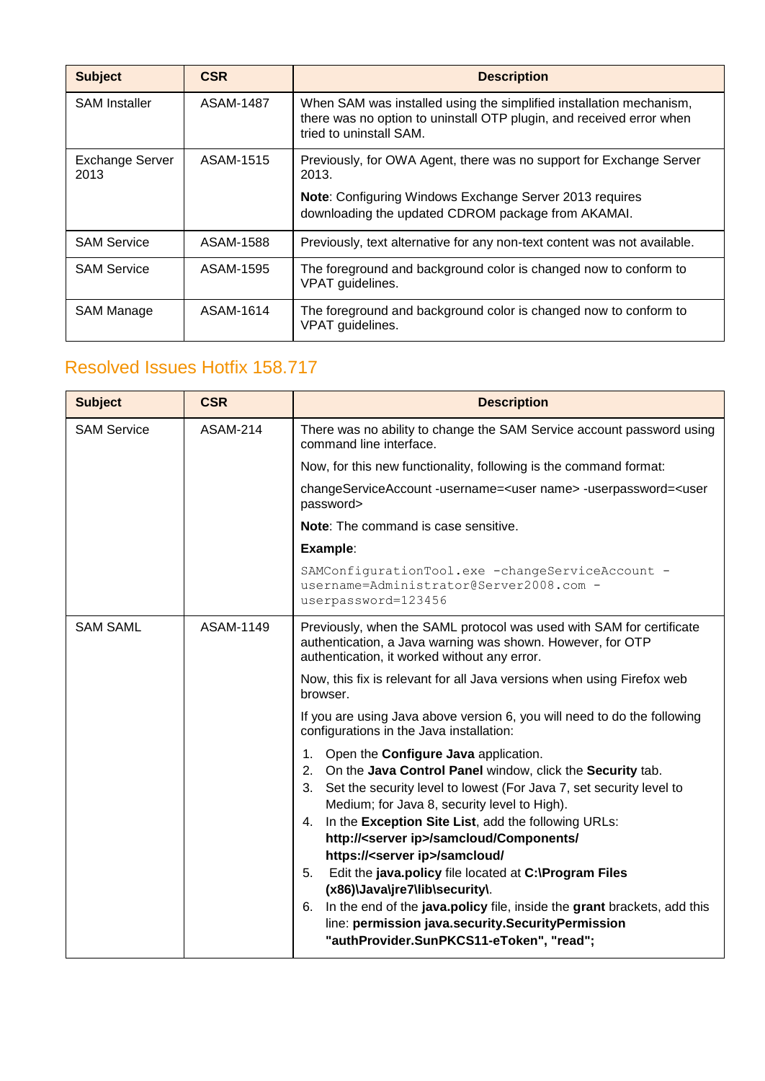| <b>Subject</b>                 | <b>CSR</b> | <b>Description</b>                                                                                                                                                     |
|--------------------------------|------------|------------------------------------------------------------------------------------------------------------------------------------------------------------------------|
| <b>SAM Installer</b>           | ASAM-1487  | When SAM was installed using the simplified installation mechanism,<br>there was no option to uninstall OTP plugin, and received error when<br>tried to uninstall SAM. |
| <b>Exchange Server</b><br>2013 | ASAM-1515  | Previously, for OWA Agent, there was no support for Exchange Server<br>2013.                                                                                           |
|                                |            | <b>Note:</b> Configuring Windows Exchange Server 2013 requires<br>downloading the updated CDROM package from AKAMAI.                                                   |
| <b>SAM Service</b>             | ASAM-1588  | Previously, text alternative for any non-text content was not available.                                                                                               |
| <b>SAM Service</b>             | ASAM-1595  | The foreground and background color is changed now to conform to<br>VPAT guidelines.                                                                                   |
| <b>SAM Manage</b>              | ASAM-1614  | The foreground and background color is changed now to conform to<br>VPAT guidelines.                                                                                   |

<span id="page-7-0"></span>

| <b>Subject</b>     | <b>CSR</b>      | <b>Description</b>                                                                                                                                                                                                                                                                                                                                                                                                                                                                                                                                                                                                                                                                                          |
|--------------------|-----------------|-------------------------------------------------------------------------------------------------------------------------------------------------------------------------------------------------------------------------------------------------------------------------------------------------------------------------------------------------------------------------------------------------------------------------------------------------------------------------------------------------------------------------------------------------------------------------------------------------------------------------------------------------------------------------------------------------------------|
| <b>SAM Service</b> | <b>ASAM-214</b> | There was no ability to change the SAM Service account password using<br>command line interface.                                                                                                                                                                                                                                                                                                                                                                                                                                                                                                                                                                                                            |
|                    |                 | Now, for this new functionality, following is the command format:                                                                                                                                                                                                                                                                                                                                                                                                                                                                                                                                                                                                                                           |
|                    |                 | changeServiceAccount-username= <user name="">-userpassword=<user<br>password&gt;</user<br></user>                                                                                                                                                                                                                                                                                                                                                                                                                                                                                                                                                                                                           |
|                    |                 | <b>Note:</b> The command is case sensitive.                                                                                                                                                                                                                                                                                                                                                                                                                                                                                                                                                                                                                                                                 |
|                    |                 | Example:                                                                                                                                                                                                                                                                                                                                                                                                                                                                                                                                                                                                                                                                                                    |
|                    |                 | SAMConfigurationTool.exe -changeServiceAccount -<br>username=Administrator@Server2008.com -<br>userpassword=123456                                                                                                                                                                                                                                                                                                                                                                                                                                                                                                                                                                                          |
| <b>SAM SAML</b>    | ASAM-1149       | Previously, when the SAML protocol was used with SAM for certificate<br>authentication, a Java warning was shown. However, for OTP<br>authentication, it worked without any error.                                                                                                                                                                                                                                                                                                                                                                                                                                                                                                                          |
|                    |                 | Now, this fix is relevant for all Java versions when using Firefox web<br>browser.                                                                                                                                                                                                                                                                                                                                                                                                                                                                                                                                                                                                                          |
|                    |                 | If you are using Java above version 6, you will need to do the following<br>configurations in the Java installation:                                                                                                                                                                                                                                                                                                                                                                                                                                                                                                                                                                                        |
|                    |                 | 1. Open the <b>Configure Java</b> application.<br>On the Java Control Panel window, click the Security tab.<br>2.<br>3.<br>Set the security level to lowest (For Java 7, set security level to<br>Medium; for Java 8, security level to High).<br>In the Exception Site List, add the following URLs:<br>4.<br>http:// <server ip="">/samcloud/Components/<br/>https://<server ip="">/samcloud/<br/>Edit the java.policy file located at C:\Program Files<br/>5.<br/>(x86)\Java\jre7\lib\security\.<br/>In the end of the java.policy file, inside the grant brackets, add this<br/>6.<br/>line: permission java.security.SecurityPermission<br/>"authProvider.SunPKCS11-eToken", "read";</server></server> |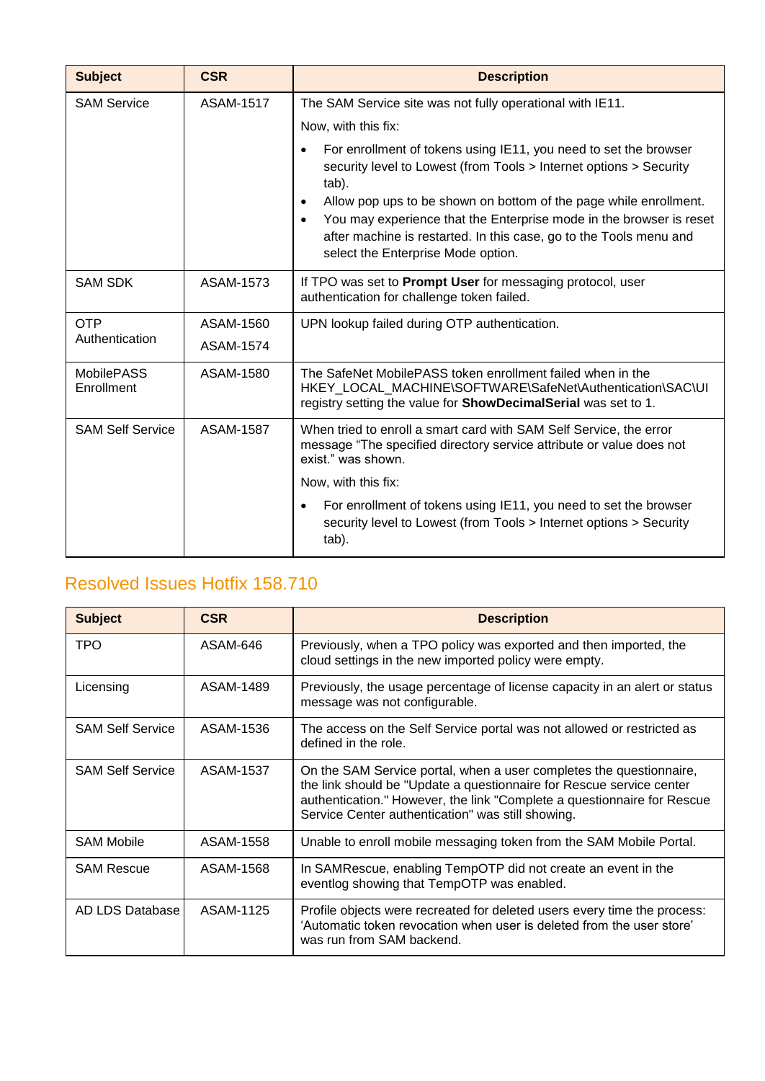| <b>Subject</b>                  | <b>CSR</b>       | <b>Description</b>                                                                                                                                                                                                                                                                                                                                                                                      |
|---------------------------------|------------------|---------------------------------------------------------------------------------------------------------------------------------------------------------------------------------------------------------------------------------------------------------------------------------------------------------------------------------------------------------------------------------------------------------|
| <b>SAM Service</b>              | <b>ASAM-1517</b> | The SAM Service site was not fully operational with IE11.                                                                                                                                                                                                                                                                                                                                               |
|                                 |                  | Now, with this fix:                                                                                                                                                                                                                                                                                                                                                                                     |
|                                 |                  | For enrollment of tokens using IE11, you need to set the browser<br>security level to Lowest (from Tools > Internet options > Security<br>tab).<br>Allow pop ups to be shown on bottom of the page while enrollment.<br>You may experience that the Enterprise mode in the browser is reset<br>after machine is restarted. In this case, go to the Tools menu and<br>select the Enterprise Mode option. |
| <b>SAM SDK</b>                  | ASAM-1573        | If TPO was set to Prompt User for messaging protocol, user<br>authentication for challenge token failed.                                                                                                                                                                                                                                                                                                |
| <b>OTP</b>                      | ASAM-1560        | UPN lookup failed during OTP authentication.                                                                                                                                                                                                                                                                                                                                                            |
| Authentication                  | ASAM-1574        |                                                                                                                                                                                                                                                                                                                                                                                                         |
| <b>MobilePASS</b><br>Enrollment | ASAM-1580        | The SafeNet MobilePASS token enrollment failed when in the<br>HKEY LOCAL MACHINE\SOFTWARE\SafeNet\Authentication\SAC\UI<br>registry setting the value for <b>ShowDecimalSerial</b> was set to 1.                                                                                                                                                                                                        |
| <b>SAM Self Service</b>         | <b>ASAM-1587</b> | When tried to enroll a smart card with SAM Self Service, the error<br>message "The specified directory service attribute or value does not<br>exist." was shown.                                                                                                                                                                                                                                        |
|                                 |                  | Now, with this fix:                                                                                                                                                                                                                                                                                                                                                                                     |
|                                 |                  | For enrollment of tokens using IE11, you need to set the browser<br>$\bullet$<br>security level to Lowest (from Tools > Internet options > Security<br>tab).                                                                                                                                                                                                                                            |

<span id="page-8-0"></span>

| <b>Subject</b>          | <b>CSR</b> | <b>Description</b>                                                                                                                                                                                                                                                          |
|-------------------------|------------|-----------------------------------------------------------------------------------------------------------------------------------------------------------------------------------------------------------------------------------------------------------------------------|
| <b>TPO</b>              | ASAM-646   | Previously, when a TPO policy was exported and then imported, the<br>cloud settings in the new imported policy were empty.                                                                                                                                                  |
| Licensing               | ASAM-1489  | Previously, the usage percentage of license capacity in an alert or status<br>message was not configurable.                                                                                                                                                                 |
| <b>SAM Self Service</b> | ASAM-1536  | The access on the Self Service portal was not allowed or restricted as<br>defined in the role.                                                                                                                                                                              |
| <b>SAM Self Service</b> | ASAM-1537  | On the SAM Service portal, when a user completes the questionnaire,<br>the link should be "Update a questionnaire for Rescue service center<br>authentication." However, the link "Complete a questionnaire for Rescue<br>Service Center authentication" was still showing. |
| <b>SAM Mobile</b>       | ASAM-1558  | Unable to enroll mobile messaging token from the SAM Mobile Portal.                                                                                                                                                                                                         |
| <b>SAM Rescue</b>       | ASAM-1568  | In SAMRescue, enabling TempOTP did not create an event in the<br>eventlog showing that TempOTP was enabled.                                                                                                                                                                 |
| AD LDS Database         | ASAM-1125  | Profile objects were recreated for deleted users every time the process:<br>'Automatic token revocation when user is deleted from the user store'<br>was run from SAM backend.                                                                                              |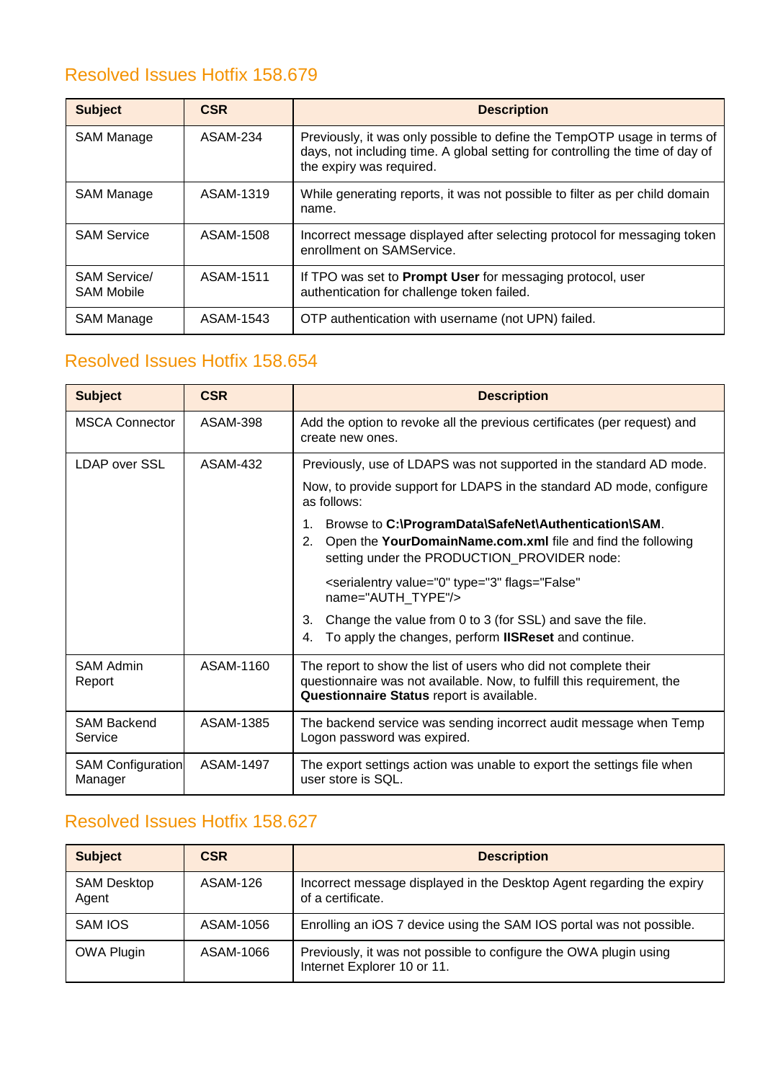<span id="page-9-0"></span>

| <b>Subject</b>                           | <b>CSR</b>      | <b>Description</b>                                                                                                                                                                    |
|------------------------------------------|-----------------|---------------------------------------------------------------------------------------------------------------------------------------------------------------------------------------|
| <b>SAM Manage</b>                        | <b>ASAM-234</b> | Previously, it was only possible to define the TempOTP usage in terms of<br>days, not including time. A global setting for controlling the time of day of<br>the expiry was required. |
| <b>SAM Manage</b>                        | ASAM-1319       | While generating reports, it was not possible to filter as per child domain<br>name.                                                                                                  |
| <b>SAM Service</b>                       | ASAM-1508       | Incorrect message displayed after selecting protocol for messaging token<br>enrollment on SAMService.                                                                                 |
| <b>SAM Service/</b><br><b>SAM Mobile</b> | ASAM-1511       | If TPO was set to <b>Prompt User</b> for messaging protocol, user<br>authentication for challenge token failed.                                                                       |
| <b>SAM Manage</b>                        | ASAM-1543       | OTP authentication with username (not UPN) failed.                                                                                                                                    |

### <span id="page-9-1"></span>Resolved Issues Hotfix 158.654

| <b>Subject</b>                      | <b>CSR</b> | <b>Description</b>                                                                                                                                                                     |
|-------------------------------------|------------|----------------------------------------------------------------------------------------------------------------------------------------------------------------------------------------|
| <b>MSCA Connector</b>               | ASAM-398   | Add the option to revoke all the previous certificates (per request) and<br>create new ones.                                                                                           |
| LDAP over SSL                       | ASAM-432   | Previously, use of LDAPS was not supported in the standard AD mode.                                                                                                                    |
|                                     |            | Now, to provide support for LDAPS in the standard AD mode, configure<br>as follows:                                                                                                    |
|                                     |            | Browse to C:\ProgramData\SafeNet\Authentication\SAM.<br>1.<br>Open the YourDomainName.com.xml file and find the following<br>2.<br>setting under the PRODUCTION_PROVIDER node:         |
|                                     |            | <serialentry <br="" flags="False" type="3" value="0">name="AUTH_TYPE"/&gt;</serialentry>                                                                                               |
|                                     |            | 3.<br>Change the value from 0 to 3 (for SSL) and save the file.<br>To apply the changes, perform <b>IISReset</b> and continue.<br>4.                                                   |
| <b>SAM Admin</b><br>Report          | ASAM-1160  | The report to show the list of users who did not complete their<br>questionnaire was not available. Now, to fulfill this requirement, the<br>Questionnaire Status report is available. |
| <b>SAM Backend</b><br>Service       | ASAM-1385  | The backend service was sending incorrect audit message when Temp<br>Logon password was expired.                                                                                       |
| <b>SAM Configuration</b><br>Manager | ASAM-1497  | The export settings action was unable to export the settings file when<br>user store is SQL.                                                                                           |

<span id="page-9-2"></span>

| <b>Subject</b>              | <b>CSR</b> | <b>Description</b>                                                                               |
|-----------------------------|------------|--------------------------------------------------------------------------------------------------|
| <b>SAM Desktop</b><br>Agent | ASAM-126   | Incorrect message displayed in the Desktop Agent regarding the expiry<br>of a certificate.       |
| SAM IOS                     | ASAM-1056  | Enrolling an iOS 7 device using the SAM IOS portal was not possible.                             |
| <b>OWA Plugin</b>           | ASAM-1066  | Previously, it was not possible to configure the OWA plugin using<br>Internet Explorer 10 or 11. |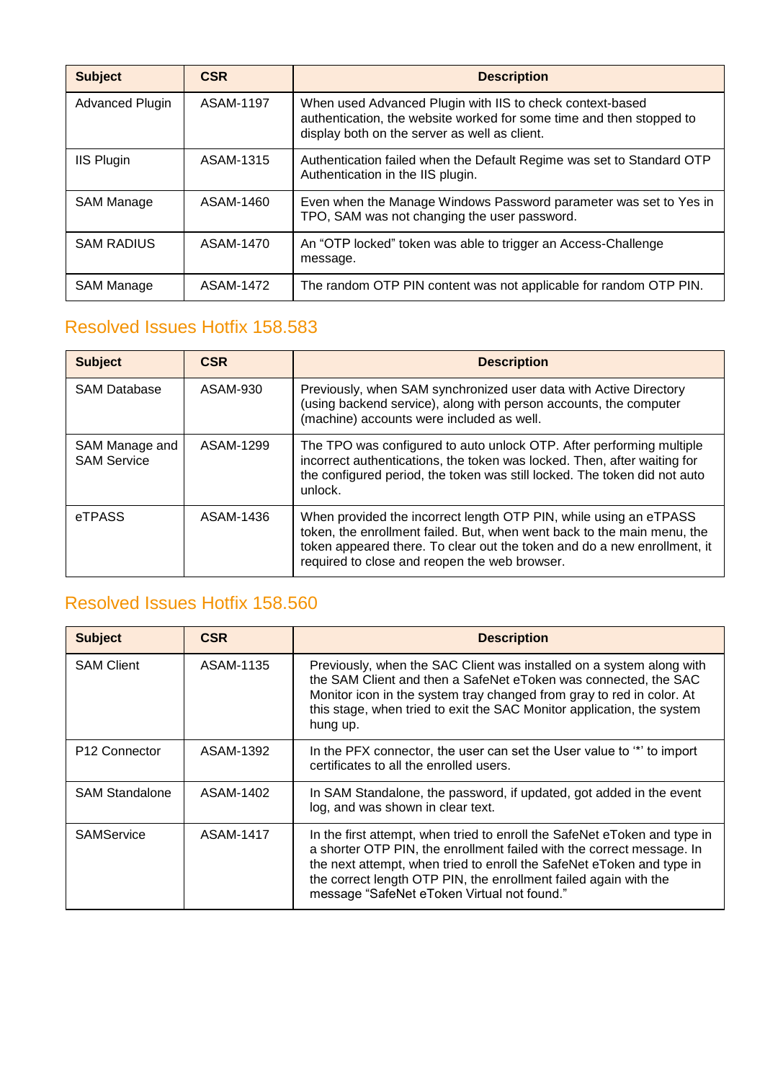| <b>Subject</b>         | <b>CSR</b> | <b>Description</b>                                                                                                                                                                 |
|------------------------|------------|------------------------------------------------------------------------------------------------------------------------------------------------------------------------------------|
| <b>Advanced Plugin</b> | ASAM-1197  | When used Advanced Plugin with IIS to check context-based<br>authentication, the website worked for some time and then stopped to<br>display both on the server as well as client. |
| <b>IIS Plugin</b>      | ASAM-1315  | Authentication failed when the Default Regime was set to Standard OTP<br>Authentication in the IIS plugin.                                                                         |
| SAM Manage             | ASAM-1460  | Even when the Manage Windows Password parameter was set to Yes in<br>TPO, SAM was not changing the user password.                                                                  |
| <b>SAM RADIUS</b>      | ASAM-1470  | An "OTP locked" token was able to trigger an Access-Challenge<br>message.                                                                                                          |
| <b>SAM Manage</b>      | ASAM-1472  | The random OTP PIN content was not applicable for random OTP PIN.                                                                                                                  |

<span id="page-10-0"></span>

| <b>Subject</b>                       | <b>CSR</b> | <b>Description</b>                                                                                                                                                                                                                                                        |
|--------------------------------------|------------|---------------------------------------------------------------------------------------------------------------------------------------------------------------------------------------------------------------------------------------------------------------------------|
| <b>SAM Database</b>                  | ASAM-930   | Previously, when SAM synchronized user data with Active Directory<br>(using backend service), along with person accounts, the computer<br>(machine) accounts were included as well.                                                                                       |
| SAM Manage and<br><b>SAM Service</b> | ASAM-1299  | The TPO was configured to auto unlock OTP. After performing multiple<br>incorrect authentications, the token was locked. Then, after waiting for<br>the configured period, the token was still locked. The token did not auto<br>undock.                                  |
| eTPASS                               | ASAM-1436  | When provided the incorrect length OTP PIN, while using an eTPASS<br>token, the enrollment failed. But, when went back to the main menu, the<br>token appeared there. To clear out the token and do a new enrollment, it<br>required to close and reopen the web browser. |

<span id="page-10-1"></span>

| <b>Subject</b>            | <b>CSR</b> | <b>Description</b>                                                                                                                                                                                                                                                                                                                             |
|---------------------------|------------|------------------------------------------------------------------------------------------------------------------------------------------------------------------------------------------------------------------------------------------------------------------------------------------------------------------------------------------------|
| <b>SAM Client</b>         | ASAM-1135  | Previously, when the SAC Client was installed on a system along with<br>the SAM Client and then a SafeNet eToken was connected, the SAC<br>Monitor icon in the system tray changed from gray to red in color. At<br>this stage, when tried to exit the SAC Monitor application, the system<br>hung up.                                         |
| P <sub>12</sub> Connector | ASAM-1392  | In the PFX connector, the user can set the User value to "*" to import<br>certificates to all the enrolled users.                                                                                                                                                                                                                              |
| <b>SAM Standalone</b>     | ASAM-1402  | In SAM Standalone, the password, if updated, got added in the event<br>log, and was shown in clear text.                                                                                                                                                                                                                                       |
| <b>SAMService</b>         | ASAM-1417  | In the first attempt, when tried to enroll the SafeNet eToken and type in<br>a shorter OTP PIN, the enrollment failed with the correct message. In<br>the next attempt, when tried to enroll the SafeNet eToken and type in<br>the correct length OTP PIN, the enrollment failed again with the<br>message "SafeNet eToken Virtual not found." |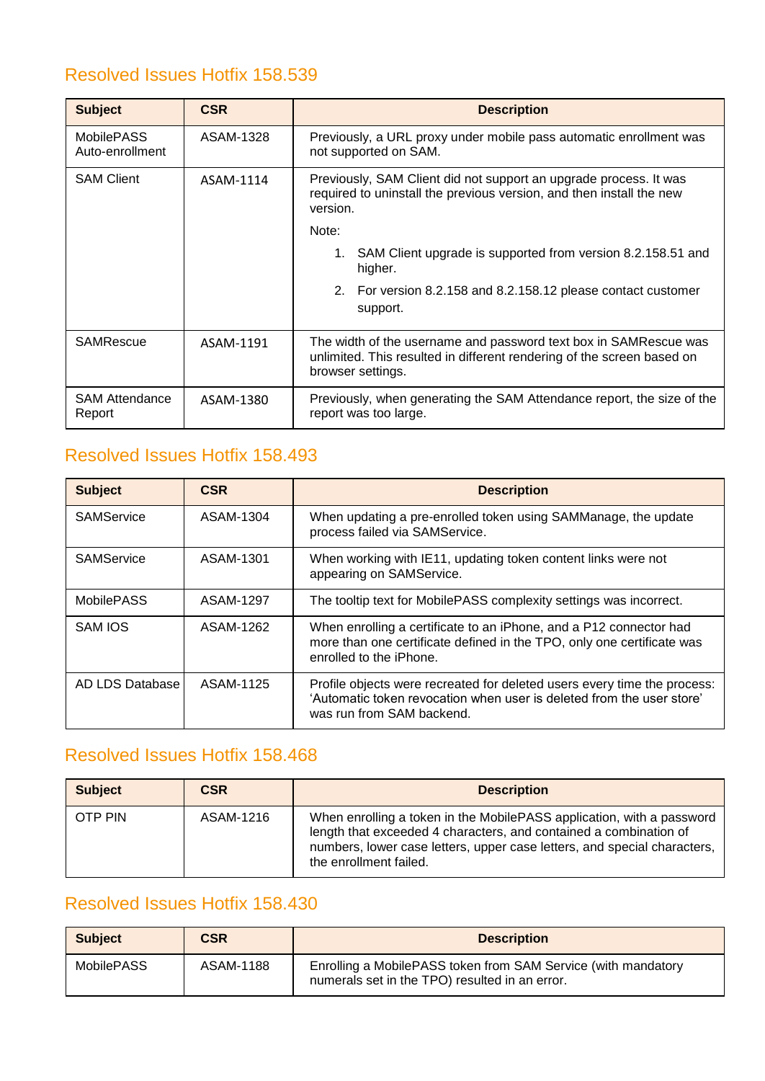<span id="page-11-0"></span>

| <b>Subject</b>                       | <b>CSR</b> | <b>Description</b>                                                                                                                                              |
|--------------------------------------|------------|-----------------------------------------------------------------------------------------------------------------------------------------------------------------|
| <b>MobilePASS</b><br>Auto-enrollment | ASAM-1328  | Previously, a URL proxy under mobile pass automatic enrollment was<br>not supported on SAM.                                                                     |
| <b>SAM Client</b>                    | ASAM-1114  | Previously, SAM Client did not support an upgrade process. It was<br>required to uninstall the previous version, and then install the new<br>version.           |
|                                      |            | Note:                                                                                                                                                           |
|                                      |            | 1. SAM Client upgrade is supported from version 8.2.158.51 and<br>higher.                                                                                       |
|                                      |            | 2. For version 8.2.158 and 8.2.158.12 please contact customer<br>support.                                                                                       |
| <b>SAMRescue</b>                     | ASAM-1191  | The width of the username and password text box in SAMRescue was<br>unlimited. This resulted in different rendering of the screen based on<br>browser settings. |
| <b>SAM Attendance</b><br>Report      | ASAM-1380  | Previously, when generating the SAM Attendance report, the size of the<br>report was too large.                                                                 |

### <span id="page-11-1"></span>Resolved Issues Hotfix 158.493

| <b>Subject</b>    | <b>CSR</b> | <b>Description</b>                                                                                                                                                             |
|-------------------|------------|--------------------------------------------------------------------------------------------------------------------------------------------------------------------------------|
| SAMService        | ASAM-1304  | When updating a pre-enrolled token using SAMManage, the update<br>process failed via SAMService.                                                                               |
| SAMService        | ASAM-1301  | When working with IE11, updating token content links were not<br>appearing on SAMService.                                                                                      |
| <b>MobilePASS</b> | ASAM-1297  | The tooltip text for MobilePASS complexity settings was incorrect.                                                                                                             |
| SAM IOS           | ASAM-1262  | When enrolling a certificate to an iPhone, and a P12 connector had<br>more than one certificate defined in the TPO, only one certificate was<br>enrolled to the iPhone.        |
| AD LDS Database   | ASAM-1125  | Profile objects were recreated for deleted users every time the process:<br>'Automatic token revocation when user is deleted from the user store'<br>was run from SAM backend. |

#### <span id="page-11-2"></span>Resolved Issues Hotfix 158.468

| <b>Subject</b> | <b>CSR</b> | <b>Description</b>                                                                                                                                                                                                                               |
|----------------|------------|--------------------------------------------------------------------------------------------------------------------------------------------------------------------------------------------------------------------------------------------------|
| OTP PIN        | ASAM-1216  | When enrolling a token in the MobilePASS application, with a password<br>length that exceeded 4 characters, and contained a combination of<br>numbers, lower case letters, upper case letters, and special characters,<br>the enrollment failed. |

<span id="page-11-3"></span>

| <b>Subject</b>    | <b>CSR</b> | <b>Description</b>                                                                                              |
|-------------------|------------|-----------------------------------------------------------------------------------------------------------------|
| <b>MobilePASS</b> | ASAM-1188  | Enrolling a MobilePASS token from SAM Service (with mandatory<br>numerals set in the TPO) resulted in an error. |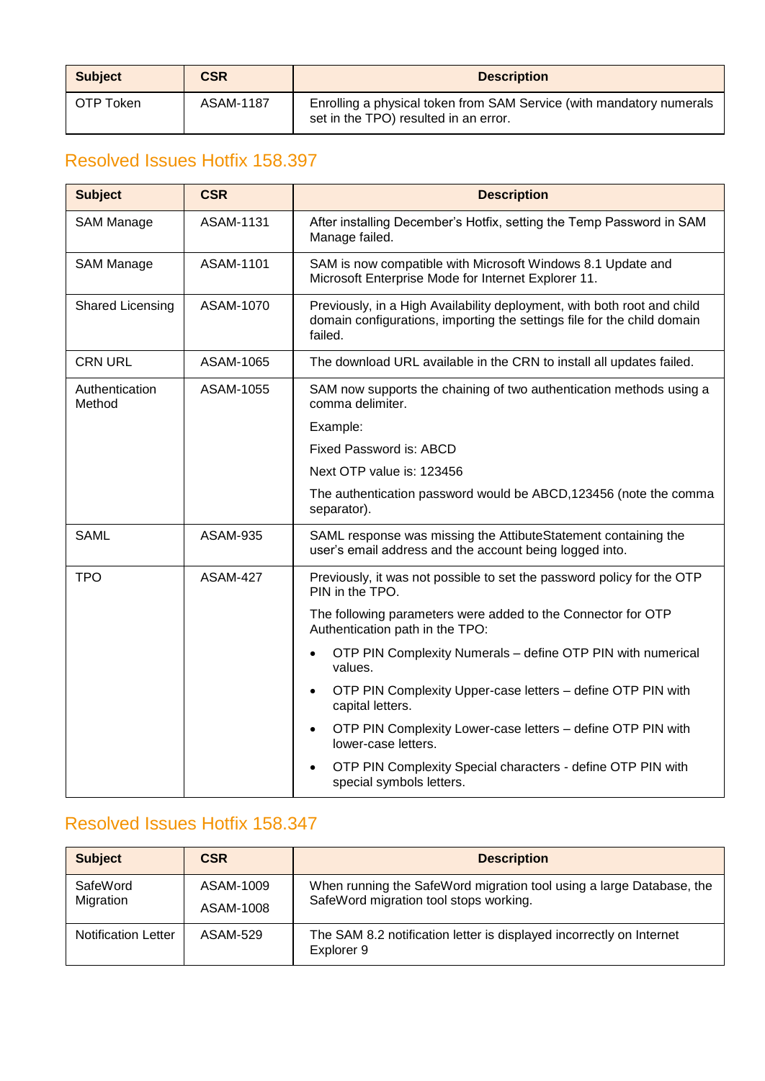| <b>Subject</b> | <b>CSR</b> | <b>Description</b>                                                                                            |
|----------------|------------|---------------------------------------------------------------------------------------------------------------|
| OTP Token      | ASAM-1187  | Enrolling a physical token from SAM Service (with mandatory numerals<br>set in the TPO) resulted in an error. |

<span id="page-12-0"></span>

| <b>Subject</b>           | <b>CSR</b>       | <b>Description</b>                                                                                                                                            |
|--------------------------|------------------|---------------------------------------------------------------------------------------------------------------------------------------------------------------|
| <b>SAM Manage</b>        | <b>ASAM-1131</b> | After installing December's Hotfix, setting the Temp Password in SAM<br>Manage failed.                                                                        |
| SAM Manage               | ASAM-1101        | SAM is now compatible with Microsoft Windows 8.1 Update and<br>Microsoft Enterprise Mode for Internet Explorer 11.                                            |
| Shared Licensing         | ASAM-1070        | Previously, in a High Availability deployment, with both root and child<br>domain configurations, importing the settings file for the child domain<br>failed. |
| <b>CRN URL</b>           | ASAM-1065        | The download URL available in the CRN to install all updates failed.                                                                                          |
| Authentication<br>Method | ASAM-1055        | SAM now supports the chaining of two authentication methods using a<br>comma delimiter.                                                                       |
|                          |                  | Example:                                                                                                                                                      |
|                          |                  | <b>Fixed Password is: ABCD</b>                                                                                                                                |
|                          |                  | Next OTP value is: 123456                                                                                                                                     |
|                          |                  | The authentication password would be ABCD, 123456 (note the comma<br>separator).                                                                              |
| <b>SAML</b>              | <b>ASAM-935</b>  | SAML response was missing the AttibuteStatement containing the<br>user's email address and the account being logged into.                                     |
| <b>TPO</b>               | <b>ASAM-427</b>  | Previously, it was not possible to set the password policy for the OTP<br>PIN in the TPO.                                                                     |
|                          |                  | The following parameters were added to the Connector for OTP<br>Authentication path in the TPO:                                                               |
|                          |                  | OTP PIN Complexity Numerals - define OTP PIN with numerical<br>values.                                                                                        |
|                          |                  | OTP PIN Complexity Upper-case letters - define OTP PIN with<br>capital letters.                                                                               |
|                          |                  | OTP PIN Complexity Lower-case letters - define OTP PIN with<br>lower-case letters.                                                                            |
|                          |                  | OTP PIN Complexity Special characters - define OTP PIN with<br>special symbols letters.                                                                       |

<span id="page-12-1"></span>

| <b>Subject</b>             | <b>CSR</b>             | <b>Description</b>                                                                                             |
|----------------------------|------------------------|----------------------------------------------------------------------------------------------------------------|
| SafeWord<br>Migration      | ASAM-1009<br>ASAM-1008 | When running the SafeWord migration tool using a large Database, the<br>SafeWord migration tool stops working. |
| <b>Notification Letter</b> | ASAM-529               | The SAM 8.2 notification letter is displayed incorrectly on Internet<br>Explorer 9                             |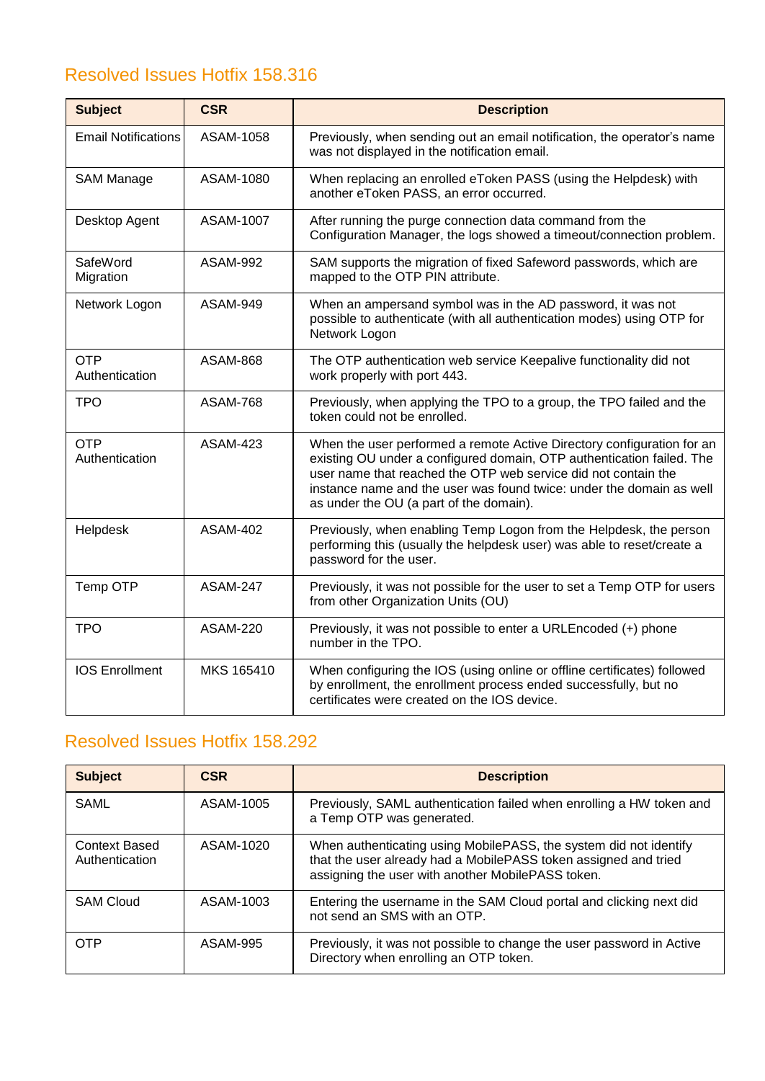<span id="page-13-0"></span>

| <b>Subject</b>               | <b>CSR</b>      | <b>Description</b>                                                                                                                                                                                                                                                                                                                   |
|------------------------------|-----------------|--------------------------------------------------------------------------------------------------------------------------------------------------------------------------------------------------------------------------------------------------------------------------------------------------------------------------------------|
| <b>Email Notifications</b>   | ASAM-1058       | Previously, when sending out an email notification, the operator's name<br>was not displayed in the notification email.                                                                                                                                                                                                              |
| <b>SAM Manage</b>            | ASAM-1080       | When replacing an enrolled eToken PASS (using the Helpdesk) with<br>another eToken PASS, an error occurred.                                                                                                                                                                                                                          |
| Desktop Agent                | ASAM-1007       | After running the purge connection data command from the<br>Configuration Manager, the logs showed a timeout/connection problem.                                                                                                                                                                                                     |
| SafeWord<br>Migration        | <b>ASAM-992</b> | SAM supports the migration of fixed Safeword passwords, which are<br>mapped to the OTP PIN attribute.                                                                                                                                                                                                                                |
| Network Logon                | ASAM-949        | When an ampersand symbol was in the AD password, it was not<br>possible to authenticate (with all authentication modes) using OTP for<br>Network Logon                                                                                                                                                                               |
| <b>OTP</b><br>Authentication | <b>ASAM-868</b> | The OTP authentication web service Keepalive functionality did not<br>work properly with port 443.                                                                                                                                                                                                                                   |
| <b>TPO</b>                   | <b>ASAM-768</b> | Previously, when applying the TPO to a group, the TPO failed and the<br>token could not be enrolled.                                                                                                                                                                                                                                 |
| <b>OTP</b><br>Authentication | <b>ASAM-423</b> | When the user performed a remote Active Directory configuration for an<br>existing OU under a configured domain, OTP authentication failed. The<br>user name that reached the OTP web service did not contain the<br>instance name and the user was found twice: under the domain as well<br>as under the OU (a part of the domain). |
| Helpdesk                     | <b>ASAM-402</b> | Previously, when enabling Temp Logon from the Helpdesk, the person<br>performing this (usually the helpdesk user) was able to reset/create a<br>password for the user.                                                                                                                                                               |
| Temp OTP                     | <b>ASAM-247</b> | Previously, it was not possible for the user to set a Temp OTP for users<br>from other Organization Units (OU)                                                                                                                                                                                                                       |
| <b>TPO</b>                   | <b>ASAM-220</b> | Previously, it was not possible to enter a URLEncoded (+) phone<br>number in the TPO.                                                                                                                                                                                                                                                |
| <b>IOS Enrollment</b>        | MKS 165410      | When configuring the IOS (using online or offline certificates) followed<br>by enrollment, the enrollment process ended successfully, but no<br>certificates were created on the IOS device.                                                                                                                                         |

<span id="page-13-1"></span>

| <b>Subject</b>                         | <b>CSR</b> | <b>Description</b>                                                                                                                                                                        |
|----------------------------------------|------------|-------------------------------------------------------------------------------------------------------------------------------------------------------------------------------------------|
| SAML                                   | ASAM-1005  | Previously, SAML authentication failed when enrolling a HW token and<br>a Temp OTP was generated.                                                                                         |
| <b>Context Based</b><br>Authentication | ASAM-1020  | When authenticating using MobilePASS, the system did not identify<br>that the user already had a MobilePASS token assigned and tried<br>assigning the user with another MobilePASS token. |
| <b>SAM Cloud</b>                       | ASAM-1003  | Entering the username in the SAM Cloud portal and clicking next did<br>not send an SMS with an OTP.                                                                                       |
| <b>OTP</b>                             | ASAM-995   | Previously, it was not possible to change the user password in Active<br>Directory when enrolling an OTP token.                                                                           |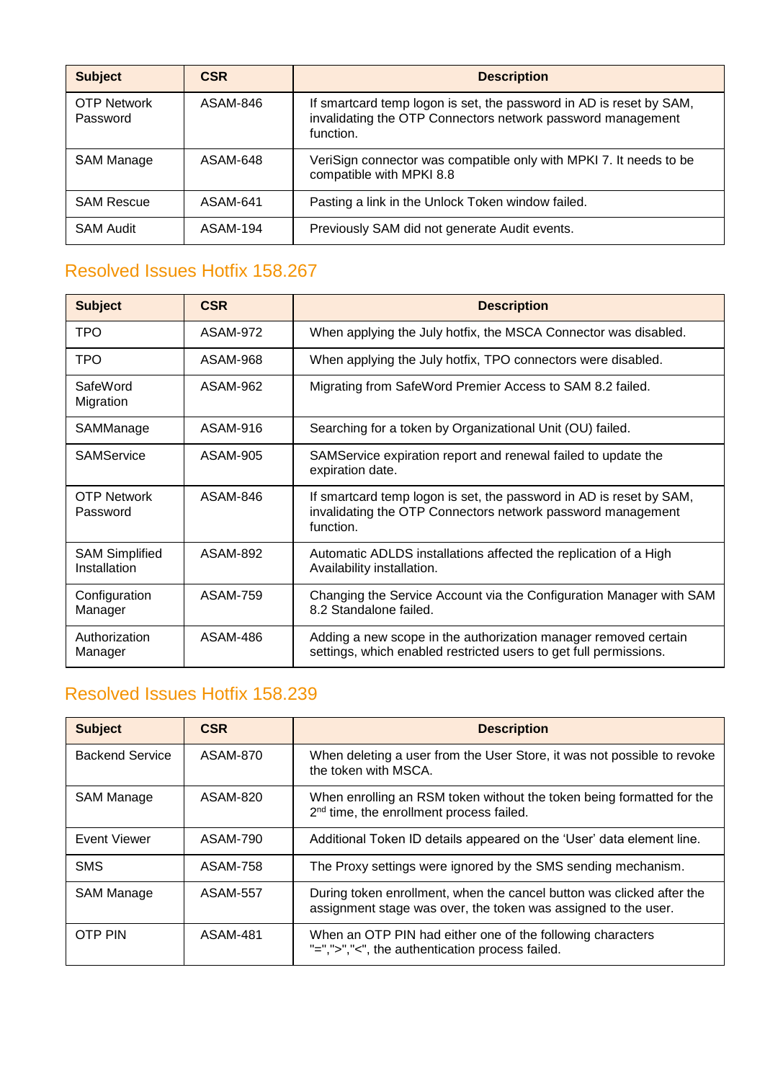| <b>Subject</b>                 | <b>CSR</b> | <b>Description</b>                                                                                                                              |
|--------------------------------|------------|-------------------------------------------------------------------------------------------------------------------------------------------------|
| <b>OTP Network</b><br>Password | ASAM-846   | If smartcard temp logon is set, the password in AD is reset by SAM,<br>invalidating the OTP Connectors network password management<br>function. |
| SAM Manage                     | ASAM-648   | VeriSign connector was compatible only with MPKI 7. It needs to be<br>compatible with MPKI 8.8                                                  |
| <b>SAM Rescue</b>              | ASAM-641   | Pasting a link in the Unlock Token window failed.                                                                                               |
| <b>SAM Audit</b>               | ASAM-194   | Previously SAM did not generate Audit events.                                                                                                   |

<span id="page-14-0"></span>

| <b>Subject</b>                        | <b>CSR</b> | <b>Description</b>                                                                                                                              |
|---------------------------------------|------------|-------------------------------------------------------------------------------------------------------------------------------------------------|
| <b>TPO</b>                            | ASAM-972   | When applying the July hotfix, the MSCA Connector was disabled.                                                                                 |
| <b>TPO</b>                            | ASAM-968   | When applying the July hotfix, TPO connectors were disabled.                                                                                    |
| SafeWord<br>Migration                 | ASAM-962   | Migrating from SafeWord Premier Access to SAM 8.2 failed.                                                                                       |
| SAMManage                             | ASAM-916   | Searching for a token by Organizational Unit (OU) failed.                                                                                       |
| <b>SAMService</b>                     | ASAM-905   | SAMService expiration report and renewal failed to update the<br>expiration date.                                                               |
| <b>OTP Network</b><br>Password        | ASAM-846   | If smartcard temp logon is set, the password in AD is reset by SAM,<br>invalidating the OTP Connectors network password management<br>function. |
| <b>SAM Simplified</b><br>Installation | ASAM-892   | Automatic ADLDS installations affected the replication of a High<br>Availability installation.                                                  |
| Configuration<br>Manager              | ASAM-759   | Changing the Service Account via the Configuration Manager with SAM<br>8.2 Standalone failed.                                                   |
| Authorization<br>Manager              | ASAM-486   | Adding a new scope in the authorization manager removed certain<br>settings, which enabled restricted users to get full permissions.            |

<span id="page-14-1"></span>

| <b>Subject</b>    | <b>CSR</b>      | <b>Description</b>                                                                                                                      |
|-------------------|-----------------|-----------------------------------------------------------------------------------------------------------------------------------------|
| Backend Service   | ASAM-870        | When deleting a user from the User Store, it was not possible to revoke<br>the token with MSCA.                                         |
| SAM Manage        | ASAM-820        | When enrolling an RSM token without the token being formatted for the<br>2 <sup>nd</sup> time, the enrollment process failed.           |
| Event Viewer      | ASAM-790        | Additional Token ID details appeared on the 'User' data element line.                                                                   |
| <b>SMS</b>        | <b>ASAM-758</b> | The Proxy settings were ignored by the SMS sending mechanism.                                                                           |
| <b>SAM Manage</b> | <b>ASAM-557</b> | During token enrollment, when the cancel button was clicked after the<br>assignment stage was over, the token was assigned to the user. |
| <b>OTP PIN</b>    | <b>ASAM-481</b> | When an OTP PIN had either one of the following characters<br>"=",">","<", the authentication process failed.                           |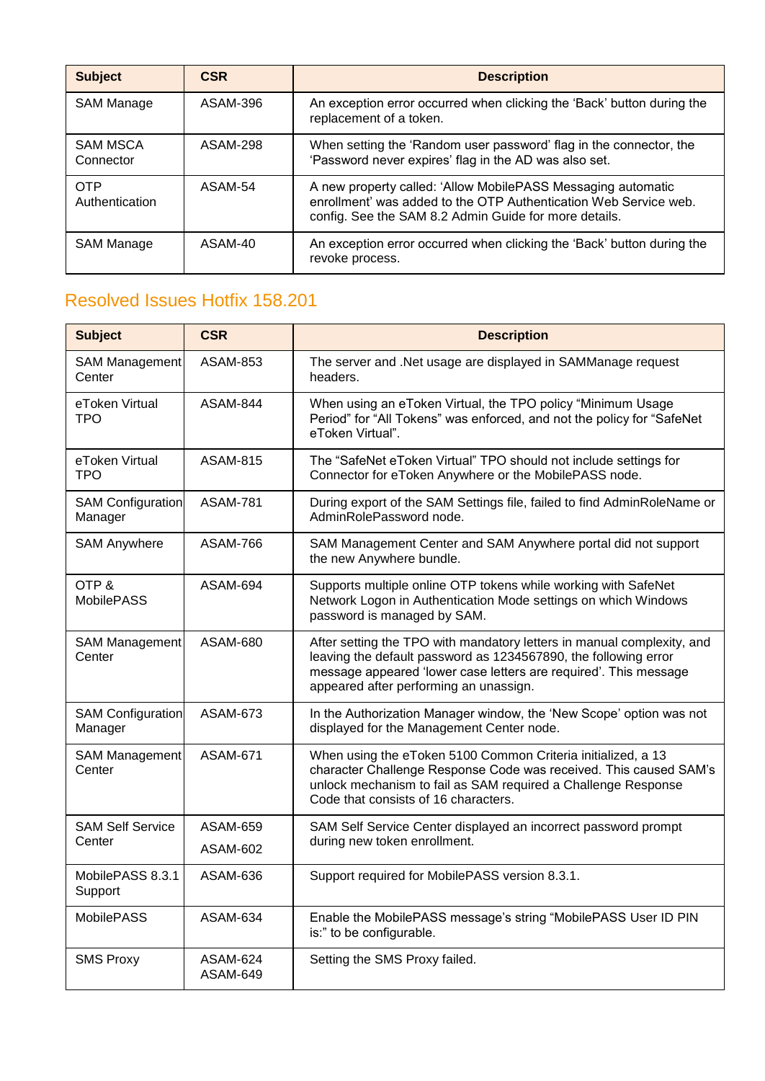| <b>Subject</b>               | <b>CSR</b> | <b>Description</b>                                                                                                                                                                        |
|------------------------------|------------|-------------------------------------------------------------------------------------------------------------------------------------------------------------------------------------------|
| <b>SAM Manage</b>            | ASAM-396   | An exception error occurred when clicking the 'Back' button during the<br>replacement of a token.                                                                                         |
| <b>SAM MSCA</b><br>Connector | ASAM-298   | When setting the 'Random user password' flag in the connector, the<br>'Password never expires' flag in the AD was also set.                                                               |
| <b>OTP</b><br>Authentication | ASAM-54    | A new property called: 'Allow MobilePASS Messaging automatic<br>enrollment' was added to the OTP Authentication Web Service web.<br>config. See the SAM 8.2 Admin Guide for more details. |
| SAM Manage                   | ASAM-40    | An exception error occurred when clicking the 'Back' button during the<br>revoke process.                                                                                                 |

<span id="page-15-0"></span>

| <b>Subject</b>                      | <b>CSR</b>           | <b>Description</b>                                                                                                                                                                                                                                      |
|-------------------------------------|----------------------|---------------------------------------------------------------------------------------------------------------------------------------------------------------------------------------------------------------------------------------------------------|
| <b>SAM Management</b><br>Center     | ASAM-853             | The server and .Net usage are displayed in SAMManage request<br>headers.                                                                                                                                                                                |
| eToken Virtual<br><b>TPO</b>        | ASAM-844             | When using an eToken Virtual, the TPO policy "Minimum Usage<br>Period" for "All Tokens" was enforced, and not the policy for "SafeNet<br>eToken Virtual".                                                                                               |
| eToken Virtual<br>TPO.              | <b>ASAM-815</b>      | The "SafeNet eToken Virtual" TPO should not include settings for<br>Connector for eToken Anywhere or the MobilePASS node.                                                                                                                               |
| <b>SAM Configuration</b><br>Manager | <b>ASAM-781</b>      | During export of the SAM Settings file, failed to find AdminRoleName or<br>AdminRolePassword node.                                                                                                                                                      |
| <b>SAM Anywhere</b>                 | ASAM-766             | SAM Management Center and SAM Anywhere portal did not support<br>the new Anywhere bundle.                                                                                                                                                               |
| OTP&<br><b>MobilePASS</b>           | ASAM-694             | Supports multiple online OTP tokens while working with SafeNet<br>Network Logon in Authentication Mode settings on which Windows<br>password is managed by SAM.                                                                                         |
| <b>SAM Management</b><br>Center     | ASAM-680             | After setting the TPO with mandatory letters in manual complexity, and<br>leaving the default password as 1234567890, the following error<br>message appeared 'lower case letters are required'. This message<br>appeared after performing an unassign. |
| <b>SAM Configuration</b><br>Manager | ASAM-673             | In the Authorization Manager window, the 'New Scope' option was not<br>displayed for the Management Center node.                                                                                                                                        |
| <b>SAM Management</b><br>Center     | <b>ASAM-671</b>      | When using the eToken 5100 Common Criteria initialized, a 13<br>character Challenge Response Code was received. This caused SAM's<br>unlock mechanism to fail as SAM required a Challenge Response<br>Code that consists of 16 characters.              |
| <b>SAM Self Service</b><br>Center   | ASAM-659             | SAM Self Service Center displayed an incorrect password prompt<br>during new token enrollment.                                                                                                                                                          |
|                                     | ASAM-602             |                                                                                                                                                                                                                                                         |
| MobilePASS 8.3.1<br>Support         | ASAM-636             | Support required for MobilePASS version 8.3.1.                                                                                                                                                                                                          |
| <b>MobilePASS</b>                   | ASAM-634             | Enable the MobilePASS message's string "MobilePASS User ID PIN<br>is:" to be configurable.                                                                                                                                                              |
| <b>SMS Proxy</b>                    | ASAM-624<br>ASAM-649 | Setting the SMS Proxy failed.                                                                                                                                                                                                                           |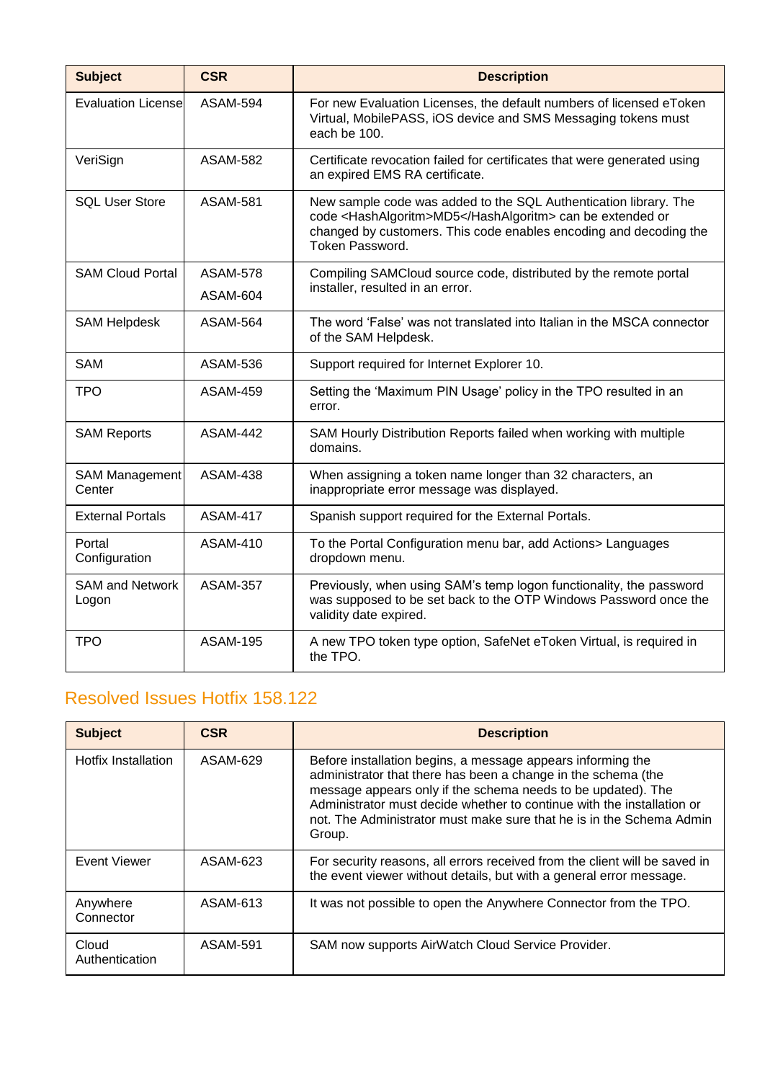| <b>Subject</b>                  | <b>CSR</b>      | <b>Description</b>                                                                                                                                                                                                   |
|---------------------------------|-----------------|----------------------------------------------------------------------------------------------------------------------------------------------------------------------------------------------------------------------|
| <b>Evaluation License</b>       | <b>ASAM-594</b> | For new Evaluation Licenses, the default numbers of licensed eToken<br>Virtual, MobilePASS, iOS device and SMS Messaging tokens must<br>each be 100.                                                                 |
| VeriSign                        | <b>ASAM-582</b> | Certificate revocation failed for certificates that were generated using<br>an expired EMS RA certificate.                                                                                                           |
| <b>SQL User Store</b>           | <b>ASAM-581</b> | New sample code was added to the SQL Authentication library. The<br>code <hashalgoritm>MD5</hashalgoritm> can be extended or<br>changed by customers. This code enables encoding and decoding the<br>Token Password. |
| <b>SAM Cloud Portal</b>         | <b>ASAM-578</b> | Compiling SAMCloud source code, distributed by the remote portal                                                                                                                                                     |
|                                 | ASAM-604        | installer, resulted in an error.                                                                                                                                                                                     |
| <b>SAM Helpdesk</b>             | <b>ASAM-564</b> | The word 'False' was not translated into Italian in the MSCA connector<br>of the SAM Helpdesk.                                                                                                                       |
| <b>SAM</b>                      | <b>ASAM-536</b> | Support required for Internet Explorer 10.                                                                                                                                                                           |
| <b>TPO</b>                      | <b>ASAM-459</b> | Setting the 'Maximum PIN Usage' policy in the TPO resulted in an<br>error.                                                                                                                                           |
| <b>SAM Reports</b>              | <b>ASAM-442</b> | SAM Hourly Distribution Reports failed when working with multiple<br>domains.                                                                                                                                        |
| <b>SAM Management</b><br>Center | <b>ASAM-438</b> | When assigning a token name longer than 32 characters, an<br>inappropriate error message was displayed.                                                                                                              |
| <b>External Portals</b>         | <b>ASAM-417</b> | Spanish support required for the External Portals.                                                                                                                                                                   |
| Portal<br>Configuration         | <b>ASAM-410</b> | To the Portal Configuration menu bar, add Actions> Languages<br>dropdown menu.                                                                                                                                       |
| <b>SAM and Network</b><br>Logon | <b>ASAM-357</b> | Previously, when using SAM's temp logon functionality, the password<br>was supposed to be set back to the OTP Windows Password once the<br>validity date expired.                                                    |
| <b>TPO</b>                      | <b>ASAM-195</b> | A new TPO token type option, SafeNet eToken Virtual, is required in<br>the TPO.                                                                                                                                      |

<span id="page-16-0"></span>

| <b>Subject</b>          | <b>CSR</b>      | <b>Description</b>                                                                                                                                                                                                                                                                                                                                       |
|-------------------------|-----------------|----------------------------------------------------------------------------------------------------------------------------------------------------------------------------------------------------------------------------------------------------------------------------------------------------------------------------------------------------------|
| Hotfix Installation     | ASAM-629        | Before installation begins, a message appears informing the<br>administrator that there has been a change in the schema (the<br>message appears only if the schema needs to be updated). The<br>Administrator must decide whether to continue with the installation or<br>not. The Administrator must make sure that he is in the Schema Admin<br>Group. |
| Event Viewer            | ASAM-623        | For security reasons, all errors received from the client will be saved in<br>the event viewer without details, but with a general error message.                                                                                                                                                                                                        |
| Anywhere<br>Connector   | ASAM-613        | It was not possible to open the Anywhere Connector from the TPO.                                                                                                                                                                                                                                                                                         |
| Cloud<br>Authentication | <b>ASAM-591</b> | SAM now supports AirWatch Cloud Service Provider.                                                                                                                                                                                                                                                                                                        |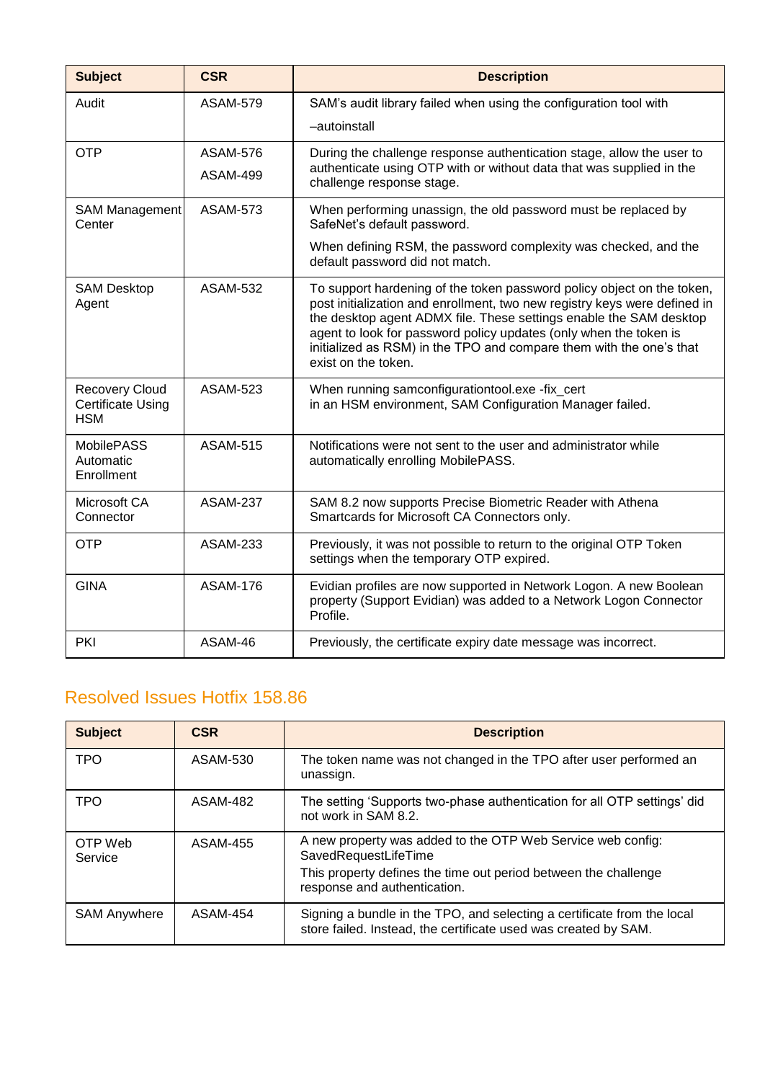| <b>Subject</b>                                                  | <b>CSR</b>      | <b>Description</b>                                                                                                                                                                                                                                                                                                                                                                           |
|-----------------------------------------------------------------|-----------------|----------------------------------------------------------------------------------------------------------------------------------------------------------------------------------------------------------------------------------------------------------------------------------------------------------------------------------------------------------------------------------------------|
| Audit                                                           | <b>ASAM-579</b> | SAM's audit library failed when using the configuration tool with                                                                                                                                                                                                                                                                                                                            |
|                                                                 |                 | -autoinstall                                                                                                                                                                                                                                                                                                                                                                                 |
| <b>OTP</b>                                                      | <b>ASAM-576</b> | During the challenge response authentication stage, allow the user to                                                                                                                                                                                                                                                                                                                        |
|                                                                 | <b>ASAM-499</b> | authenticate using OTP with or without data that was supplied in the<br>challenge response stage.                                                                                                                                                                                                                                                                                            |
| <b>SAM Management</b><br>Center                                 | <b>ASAM-573</b> | When performing unassign, the old password must be replaced by<br>SafeNet's default password.                                                                                                                                                                                                                                                                                                |
|                                                                 |                 | When defining RSM, the password complexity was checked, and the<br>default password did not match.                                                                                                                                                                                                                                                                                           |
| <b>SAM Desktop</b><br>Agent                                     | <b>ASAM-532</b> | To support hardening of the token password policy object on the token,<br>post initialization and enrollment, two new registry keys were defined in<br>the desktop agent ADMX file. These settings enable the SAM desktop<br>agent to look for password policy updates (only when the token is<br>initialized as RSM) in the TPO and compare them with the one's that<br>exist on the token. |
| <b>Recovery Cloud</b><br><b>Certificate Using</b><br><b>HSM</b> | <b>ASAM-523</b> | When running samconfigurationtool.exe -fix_cert<br>in an HSM environment, SAM Configuration Manager failed.                                                                                                                                                                                                                                                                                  |
| <b>MobilePASS</b><br>Automatic<br>Enrollment                    | <b>ASAM-515</b> | Notifications were not sent to the user and administrator while<br>automatically enrolling MobilePASS.                                                                                                                                                                                                                                                                                       |
| Microsoft CA<br>Connector                                       | <b>ASAM-237</b> | SAM 8.2 now supports Precise Biometric Reader with Athena<br>Smartcards for Microsoft CA Connectors only.                                                                                                                                                                                                                                                                                    |
| <b>OTP</b>                                                      | <b>ASAM-233</b> | Previously, it was not possible to return to the original OTP Token<br>settings when the temporary OTP expired.                                                                                                                                                                                                                                                                              |
| <b>GINA</b>                                                     | <b>ASAM-176</b> | Evidian profiles are now supported in Network Logon. A new Boolean<br>property (Support Evidian) was added to a Network Logon Connector<br>Profile.                                                                                                                                                                                                                                          |
| PKI                                                             | ASAM-46         | Previously, the certificate expiry date message was incorrect.                                                                                                                                                                                                                                                                                                                               |

<span id="page-17-0"></span>

| <b>Subject</b>      | <b>CSR</b> | <b>Description</b>                                                                                                                                                                     |
|---------------------|------------|----------------------------------------------------------------------------------------------------------------------------------------------------------------------------------------|
| <b>TPO</b>          | ASAM-530   | The token name was not changed in the TPO after user performed an<br>unassign.                                                                                                         |
| <b>TPO</b>          | ASAM-482   | The setting 'Supports two-phase authentication for all OTP settings' did<br>not work in SAM 8.2.                                                                                       |
| OTP Web<br>Service  | ASAM-455   | A new property was added to the OTP Web Service web config:<br>SavedRequestLifeTime<br>This property defines the time out period between the challenge<br>response and authentication. |
| <b>SAM Anywhere</b> | ASAM-454   | Signing a bundle in the TPO, and selecting a certificate from the local<br>store failed. Instead, the certificate used was created by SAM.                                             |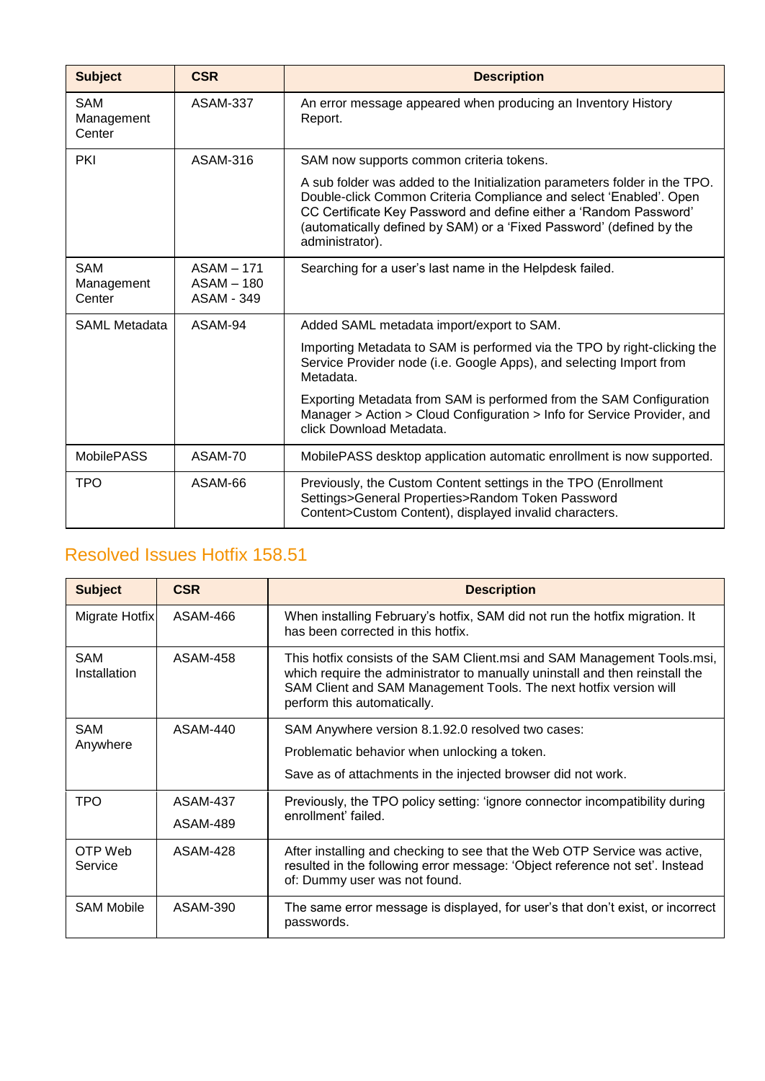| <b>Subject</b>                     | <b>CSR</b>                               | <b>Description</b>                                                                                                                                                                                                                                                                                               |
|------------------------------------|------------------------------------------|------------------------------------------------------------------------------------------------------------------------------------------------------------------------------------------------------------------------------------------------------------------------------------------------------------------|
| <b>SAM</b><br>Management<br>Center | ASAM-337                                 | An error message appeared when producing an Inventory History<br>Report.                                                                                                                                                                                                                                         |
| PKI                                | ASAM-316                                 | SAM now supports common criteria tokens.                                                                                                                                                                                                                                                                         |
|                                    |                                          | A sub folder was added to the Initialization parameters folder in the TPO.<br>Double-click Common Criteria Compliance and select 'Enabled'. Open<br>CC Certificate Key Password and define either a 'Random Password'<br>(automatically defined by SAM) or a 'Fixed Password' (defined by the<br>administrator). |
| <b>SAM</b><br>Management<br>Center | ASAM - 171<br>$ASAM - 180$<br>ASAM - 349 | Searching for a user's last name in the Helpdesk failed.                                                                                                                                                                                                                                                         |
| <b>SAML Metadata</b>               | ASAM-94                                  | Added SAML metadata import/export to SAM.                                                                                                                                                                                                                                                                        |
|                                    |                                          | Importing Metadata to SAM is performed via the TPO by right-clicking the<br>Service Provider node (i.e. Google Apps), and selecting Import from<br>Metadata.                                                                                                                                                     |
|                                    |                                          | Exporting Metadata from SAM is performed from the SAM Configuration<br>Manager > Action > Cloud Configuration > Info for Service Provider, and<br>click Download Metadata.                                                                                                                                       |
| <b>MobilePASS</b>                  | ASAM-70                                  | MobilePASS desktop application automatic enrollment is now supported.                                                                                                                                                                                                                                            |
| <b>TPO</b>                         | ASAM-66                                  | Previously, the Custom Content settings in the TPO (Enrollment<br>Settings>General Properties>Random Token Password<br>Content>Custom Content), displayed invalid characters.                                                                                                                                    |

<span id="page-18-0"></span>

| <b>Subject</b>             | <b>CSR</b>      | <b>Description</b>                                                                                                                                                                                                                                           |
|----------------------------|-----------------|--------------------------------------------------------------------------------------------------------------------------------------------------------------------------------------------------------------------------------------------------------------|
| Migrate Hotfix             | ASAM-466        | When installing February's hotfix, SAM did not run the hotfix migration. It<br>has been corrected in this hotfix.                                                                                                                                            |
| <b>SAM</b><br>Installation | ASAM-458        | This hotfix consists of the SAM Client.msi and SAM Management Tools.msi,<br>which require the administrator to manually uninstall and then reinstall the<br>SAM Client and SAM Management Tools. The next hotfix version will<br>perform this automatically. |
| <b>SAM</b>                 | ASAM-440        | SAM Anywhere version 8.1.92.0 resolved two cases:                                                                                                                                                                                                            |
| Anywhere                   |                 | Problematic behavior when unlocking a token.                                                                                                                                                                                                                 |
|                            |                 | Save as of attachments in the injected browser did not work.                                                                                                                                                                                                 |
| <b>TPO</b>                 | <b>ASAM-437</b> | Previously, the TPO policy setting: 'ignore connector incompatibility during<br>enrollment' failed.                                                                                                                                                          |
|                            | ASAM-489        |                                                                                                                                                                                                                                                              |
| OTP Web<br>Service         | <b>ASAM-428</b> | After installing and checking to see that the Web OTP Service was active,<br>resulted in the following error message: 'Object reference not set'. Instead<br>of: Dummy user was not found.                                                                   |
| <b>SAM Mobile</b>          | ASAM-390        | The same error message is displayed, for user's that don't exist, or incorrect<br>passwords.                                                                                                                                                                 |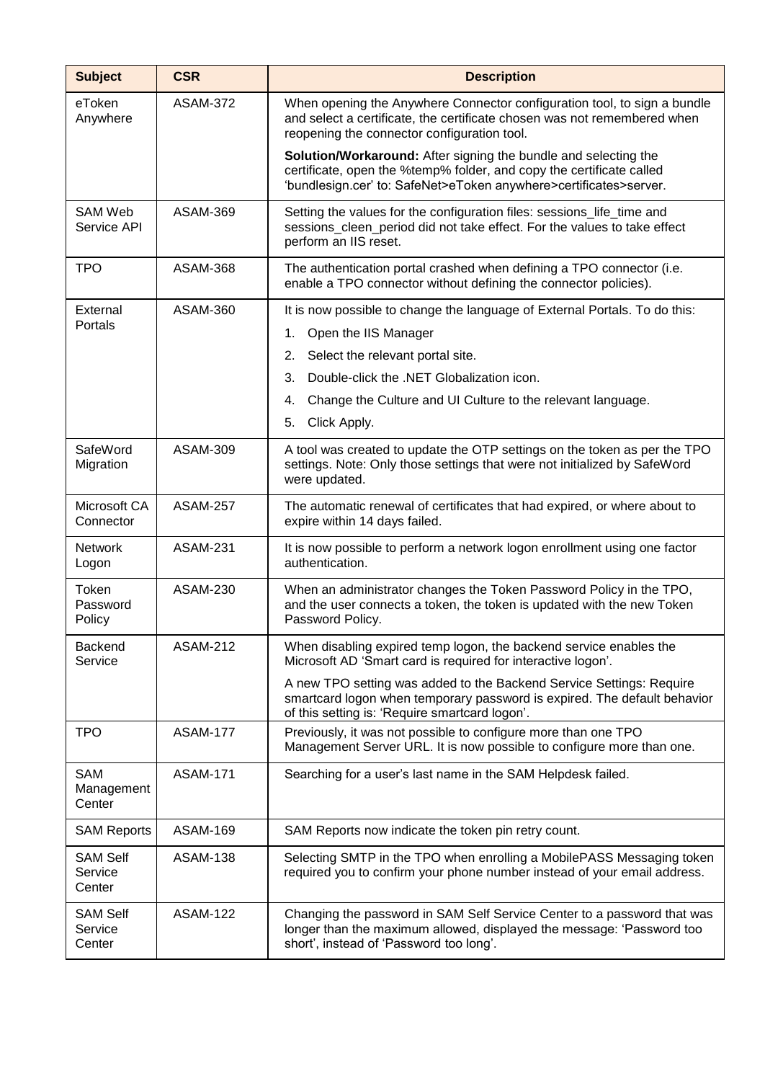| <b>Subject</b>                       | <b>CSR</b>      | <b>Description</b>                                                                                                                                                                                           |
|--------------------------------------|-----------------|--------------------------------------------------------------------------------------------------------------------------------------------------------------------------------------------------------------|
| eToken<br>Anywhere                   | <b>ASAM-372</b> | When opening the Anywhere Connector configuration tool, to sign a bundle<br>and select a certificate, the certificate chosen was not remembered when<br>reopening the connector configuration tool.          |
|                                      |                 | Solution/Workaround: After signing the bundle and selecting the<br>certificate, open the %temp% folder, and copy the certificate called<br>'bundlesign.cer' to: SafeNet>eToken anywhere>certificates>server. |
| <b>SAM Web</b><br>Service API        | <b>ASAM-369</b> | Setting the values for the configuration files: sessions_life_time and<br>sessions_cleen_period did not take effect. For the values to take effect<br>perform an IIS reset.                                  |
| <b>TPO</b>                           | <b>ASAM-368</b> | The authentication portal crashed when defining a TPO connector (i.e.<br>enable a TPO connector without defining the connector policies).                                                                    |
| External                             | <b>ASAM-360</b> | It is now possible to change the language of External Portals. To do this:                                                                                                                                   |
| Portals                              |                 | Open the IIS Manager<br>1.                                                                                                                                                                                   |
|                                      |                 | Select the relevant portal site.<br>2.                                                                                                                                                                       |
|                                      |                 | Double-click the .NET Globalization icon.<br>3.                                                                                                                                                              |
|                                      |                 | Change the Culture and UI Culture to the relevant language.<br>4.                                                                                                                                            |
|                                      |                 | Click Apply.<br>5.                                                                                                                                                                                           |
| SafeWord<br>Migration                | <b>ASAM-309</b> | A tool was created to update the OTP settings on the token as per the TPO<br>settings. Note: Only those settings that were not initialized by SafeWord<br>were updated.                                      |
| Microsoft CA<br>Connector            | <b>ASAM-257</b> | The automatic renewal of certificates that had expired, or where about to<br>expire within 14 days failed.                                                                                                   |
| <b>Network</b><br>Logon              | <b>ASAM-231</b> | It is now possible to perform a network logon enrollment using one factor<br>authentication.                                                                                                                 |
| Token<br>Password<br>Policy          | <b>ASAM-230</b> | When an administrator changes the Token Password Policy in the TPO,<br>and the user connects a token, the token is updated with the new Token<br>Password Policy.                                            |
| Backend<br>Service                   | <b>ASAM-212</b> | When disabling expired temp logon, the backend service enables the<br>Microsoft AD 'Smart card is required for interactive logon'.                                                                           |
|                                      |                 | A new TPO setting was added to the Backend Service Settings: Require<br>smartcard logon when temporary password is expired. The default behavior<br>of this setting is: 'Require smartcard logon'.           |
| <b>TPO</b>                           | <b>ASAM-177</b> | Previously, it was not possible to configure more than one TPO<br>Management Server URL. It is now possible to configure more than one.                                                                      |
| SAM<br>Management<br>Center          | <b>ASAM-171</b> | Searching for a user's last name in the SAM Helpdesk failed.                                                                                                                                                 |
| <b>SAM Reports</b>                   | <b>ASAM-169</b> | SAM Reports now indicate the token pin retry count.                                                                                                                                                          |
| <b>SAM Self</b><br>Service<br>Center | <b>ASAM-138</b> | Selecting SMTP in the TPO when enrolling a MobilePASS Messaging token<br>required you to confirm your phone number instead of your email address.                                                            |
| <b>SAM Self</b><br>Service<br>Center | <b>ASAM-122</b> | Changing the password in SAM Self Service Center to a password that was<br>longer than the maximum allowed, displayed the message: 'Password too<br>short', instead of 'Password too long'.                  |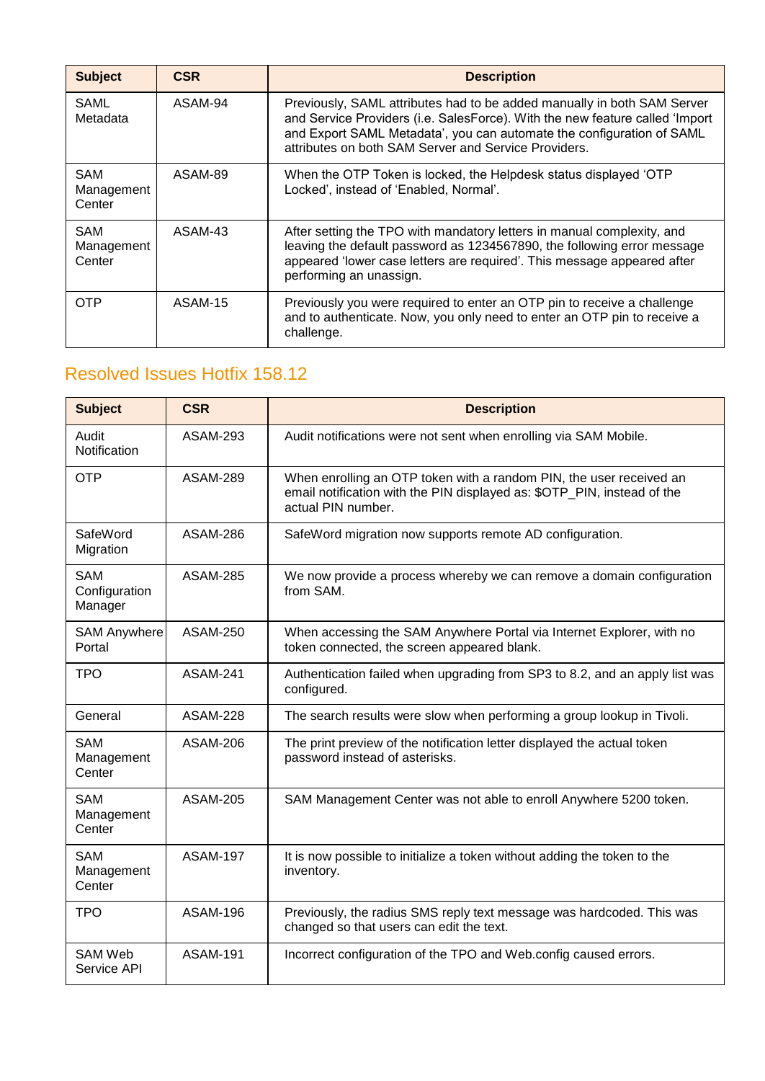| <b>Subject</b>                     | <b>CSR</b> | <b>Description</b>                                                                                                                                                                                                                                                                       |
|------------------------------------|------------|------------------------------------------------------------------------------------------------------------------------------------------------------------------------------------------------------------------------------------------------------------------------------------------|
| SAML<br>Metadata                   | ASAM-94    | Previously, SAML attributes had to be added manually in both SAM Server<br>and Service Providers (i.e. SalesForce). With the new feature called 'Import<br>and Export SAML Metadata', you can automate the configuration of SAML<br>attributes on both SAM Server and Service Providers. |
| <b>SAM</b><br>Management<br>Center | ASAM-89    | When the OTP Token is locked, the Helpdesk status displayed 'OTP<br>Locked', instead of 'Enabled, Normal'.                                                                                                                                                                               |
| <b>SAM</b><br>Management<br>Center | ASAM-43    | After setting the TPO with mandatory letters in manual complexity, and<br>leaving the default password as 1234567890, the following error message<br>appeared 'lower case letters are required'. This message appeared after<br>performing an unassign.                                  |
| OTP                                | ASAM-15    | Previously you were required to enter an OTP pin to receive a challenge<br>and to authenticate. Now, you only need to enter an OTP pin to receive a<br>challenge.                                                                                                                        |

<span id="page-20-0"></span>

| <b>Subject</b>                         | <b>CSR</b>      | <b>Description</b>                                                                                                                                                   |
|----------------------------------------|-----------------|----------------------------------------------------------------------------------------------------------------------------------------------------------------------|
| Audit<br>Notification                  | <b>ASAM-293</b> | Audit notifications were not sent when enrolling via SAM Mobile.                                                                                                     |
| <b>OTP</b>                             | <b>ASAM-289</b> | When enrolling an OTP token with a random PIN, the user received an<br>email notification with the PIN displayed as: \$OTP_PIN, instead of the<br>actual PIN number. |
| SafeWord<br>Migration                  | <b>ASAM-286</b> | SafeWord migration now supports remote AD configuration.                                                                                                             |
| <b>SAM</b><br>Configuration<br>Manager | <b>ASAM-285</b> | We now provide a process whereby we can remove a domain configuration<br>from SAM.                                                                                   |
| <b>SAM Anywhere</b><br>Portal          | <b>ASAM-250</b> | When accessing the SAM Anywhere Portal via Internet Explorer, with no<br>token connected, the screen appeared blank.                                                 |
| <b>TPO</b>                             | <b>ASAM-241</b> | Authentication failed when upgrading from SP3 to 8.2, and an apply list was<br>configured.                                                                           |
| General                                | <b>ASAM-228</b> | The search results were slow when performing a group lookup in Tivoli.                                                                                               |
| <b>SAM</b><br>Management<br>Center     | <b>ASAM-206</b> | The print preview of the notification letter displayed the actual token<br>password instead of asterisks.                                                            |
| <b>SAM</b><br>Management<br>Center     | <b>ASAM-205</b> | SAM Management Center was not able to enroll Anywhere 5200 token.                                                                                                    |
| <b>SAM</b><br>Management<br>Center     | <b>ASAM-197</b> | It is now possible to initialize a token without adding the token to the<br>inventory.                                                                               |
| <b>TPO</b>                             | <b>ASAM-196</b> | Previously, the radius SMS reply text message was hardcoded. This was<br>changed so that users can edit the text.                                                    |
| <b>SAM Web</b><br>Service API          | <b>ASAM-191</b> | Incorrect configuration of the TPO and Web.config caused errors.                                                                                                     |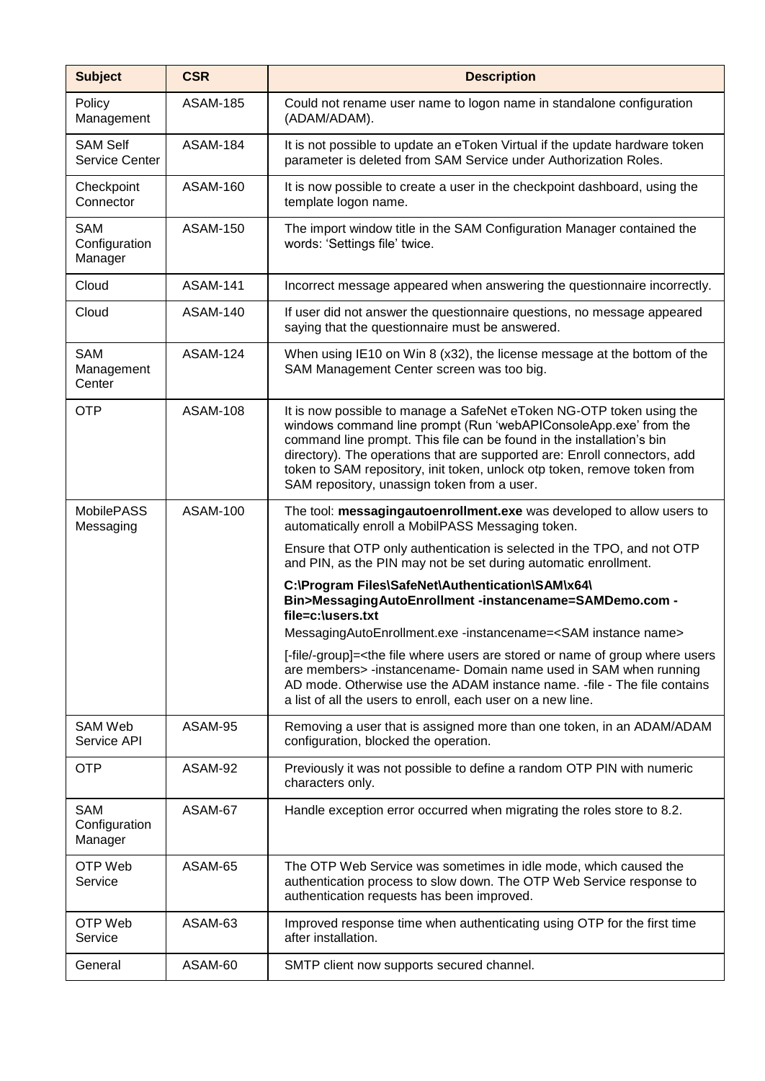| <b>Subject</b>                           | <b>CSR</b>      | <b>Description</b>                                                                                                                                                                                                                                                                                                                                                                                                        |
|------------------------------------------|-----------------|---------------------------------------------------------------------------------------------------------------------------------------------------------------------------------------------------------------------------------------------------------------------------------------------------------------------------------------------------------------------------------------------------------------------------|
| Policy<br>Management                     | <b>ASAM-185</b> | Could not rename user name to logon name in standalone configuration<br>(ADAM/ADAM).                                                                                                                                                                                                                                                                                                                                      |
| <b>SAM Self</b><br><b>Service Center</b> | <b>ASAM-184</b> | It is not possible to update an eToken Virtual if the update hardware token<br>parameter is deleted from SAM Service under Authorization Roles.                                                                                                                                                                                                                                                                           |
| Checkpoint<br>Connector                  | <b>ASAM-160</b> | It is now possible to create a user in the checkpoint dashboard, using the<br>template logon name.                                                                                                                                                                                                                                                                                                                        |
| <b>SAM</b><br>Configuration<br>Manager   | <b>ASAM-150</b> | The import window title in the SAM Configuration Manager contained the<br>words: 'Settings file' twice.                                                                                                                                                                                                                                                                                                                   |
| Cloud                                    | <b>ASAM-141</b> | Incorrect message appeared when answering the questionnaire incorrectly.                                                                                                                                                                                                                                                                                                                                                  |
| Cloud                                    | <b>ASAM-140</b> | If user did not answer the questionnaire questions, no message appeared<br>saying that the questionnaire must be answered.                                                                                                                                                                                                                                                                                                |
| <b>SAM</b><br>Management<br>Center       | <b>ASAM-124</b> | When using IE10 on Win 8 (x32), the license message at the bottom of the<br>SAM Management Center screen was too big.                                                                                                                                                                                                                                                                                                     |
| <b>OTP</b>                               | <b>ASAM-108</b> | It is now possible to manage a SafeNet eToken NG-OTP token using the<br>windows command line prompt (Run 'webAPIConsoleApp.exe' from the<br>command line prompt. This file can be found in the installation's bin<br>directory). The operations that are supported are: Enroll connectors, add<br>token to SAM repository, init token, unlock otp token, remove token from<br>SAM repository, unassign token from a user. |
| <b>MobilePASS</b><br>Messaging           | <b>ASAM-100</b> | The tool: messagingautoenrollment.exe was developed to allow users to<br>automatically enroll a MobilPASS Messaging token.                                                                                                                                                                                                                                                                                                |
|                                          |                 | Ensure that OTP only authentication is selected in the TPO, and not OTP<br>and PIN, as the PIN may not be set during automatic enrollment.                                                                                                                                                                                                                                                                                |
|                                          |                 | C:\Program Files\SafeNet\Authentication\SAM\x64\<br>Bin>MessagingAutoEnrollment -instancename=SAMDemo.com -<br>file=c:\users.txt                                                                                                                                                                                                                                                                                          |
|                                          |                 | MessagingAutoEnrollment.exe -instancename= <sam instance="" name=""></sam>                                                                                                                                                                                                                                                                                                                                                |
|                                          |                 | [-file/-group]= <the are="" file="" group="" name="" of="" or="" stored="" users="" users<br="" where="">are members&gt; -instancename- Domain name used in SAM when running<br/>AD mode. Otherwise use the ADAM instance name. - file - The file contains<br/>a list of all the users to enroll, each user on a new line.</the>                                                                                          |
| SAM Web<br>Service API                   | ASAM-95         | Removing a user that is assigned more than one token, in an ADAM/ADAM<br>configuration, blocked the operation.                                                                                                                                                                                                                                                                                                            |
| <b>OTP</b>                               | ASAM-92         | Previously it was not possible to define a random OTP PIN with numeric<br>characters only.                                                                                                                                                                                                                                                                                                                                |
| SAM<br>Configuration<br>Manager          | ASAM-67         | Handle exception error occurred when migrating the roles store to 8.2.                                                                                                                                                                                                                                                                                                                                                    |
| OTP Web<br>Service                       | ASAM-65         | The OTP Web Service was sometimes in idle mode, which caused the<br>authentication process to slow down. The OTP Web Service response to<br>authentication requests has been improved.                                                                                                                                                                                                                                    |
| OTP Web<br>Service                       | ASAM-63         | Improved response time when authenticating using OTP for the first time<br>after installation.                                                                                                                                                                                                                                                                                                                            |
| General                                  | ASAM-60         | SMTP client now supports secured channel.                                                                                                                                                                                                                                                                                                                                                                                 |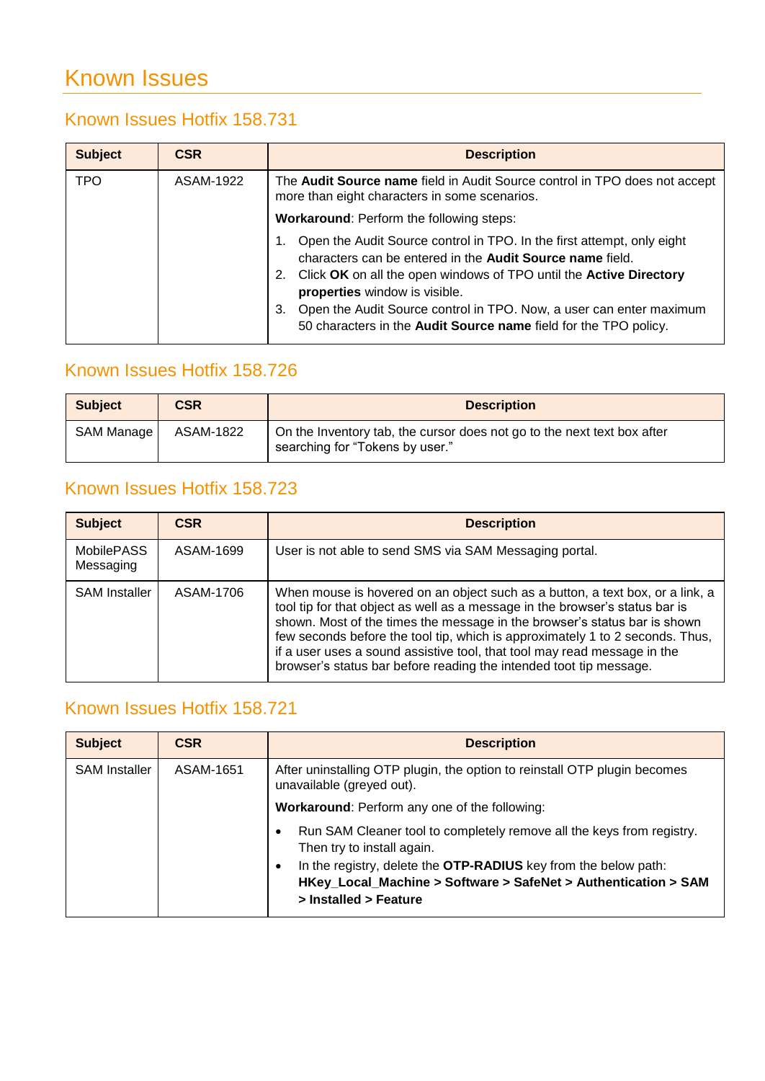## <span id="page-22-4"></span>Known Issues

#### <span id="page-22-0"></span>Known Issues Hotfix 158.731

| <b>Subject</b> | <b>CSR</b> | <b>Description</b>                                                                                                                                                                                                                                                                                                                                                                                |
|----------------|------------|---------------------------------------------------------------------------------------------------------------------------------------------------------------------------------------------------------------------------------------------------------------------------------------------------------------------------------------------------------------------------------------------------|
| <b>TPO</b>     | ASAM-1922  | The <b>Audit Source name</b> field in Audit Source control in TPO does not accept<br>more than eight characters in some scenarios.                                                                                                                                                                                                                                                                |
|                |            | <b>Workaround: Perform the following steps:</b>                                                                                                                                                                                                                                                                                                                                                   |
|                |            | Open the Audit Source control in TPO. In the first attempt, only eight<br>characters can be entered in the Audit Source name field.<br>Click OK on all the open windows of TPO until the Active Directory<br>2.<br>properties window is visible.<br>Open the Audit Source control in TPO. Now, a user can enter maximum<br>3.<br>50 characters in the Audit Source name field for the TPO policy. |

### <span id="page-22-1"></span>Known Issues Hotfix 158.726

| <b>Subject</b> | <b>CSR</b> | <b>Description</b>                                                                                         |
|----------------|------------|------------------------------------------------------------------------------------------------------------|
| SAM Manage     | ASAM-1822  | On the Inventory tab, the cursor does not go to the next text box after<br>searching for "Tokens by user." |

### <span id="page-22-2"></span>Known Issues Hotfix 158.723

| <b>Subject</b>                 | <b>CSR</b> | <b>Description</b>                                                                                                                                                                                                                                                                                                                                                                                                                                                            |
|--------------------------------|------------|-------------------------------------------------------------------------------------------------------------------------------------------------------------------------------------------------------------------------------------------------------------------------------------------------------------------------------------------------------------------------------------------------------------------------------------------------------------------------------|
| <b>MobilePASS</b><br>Messaging | ASAM-1699  | User is not able to send SMS via SAM Messaging portal.                                                                                                                                                                                                                                                                                                                                                                                                                        |
| <b>SAM Installer</b>           | ASAM-1706  | When mouse is hovered on an object such as a button, a text box, or a link, a<br>tool tip for that object as well as a message in the browser's status bar is<br>shown. Most of the times the message in the browser's status bar is shown<br>few seconds before the tool tip, which is approximately 1 to 2 seconds. Thus,<br>if a user uses a sound assistive tool, that tool may read message in the<br>browser's status bar before reading the intended toot tip message. |

#### <span id="page-22-3"></span>Known Issues Hotfix 158.721

| <b>Subject</b>       | <b>CSR</b> | <b>Description</b>                                                                                                                                              |
|----------------------|------------|-----------------------------------------------------------------------------------------------------------------------------------------------------------------|
| <b>SAM Installer</b> | ASAM-1651  | After uninstalling OTP plugin, the option to reinstall OTP plugin becomes<br>unavailable (greyed out).                                                          |
|                      |            | <b>Workaround:</b> Perform any one of the following:                                                                                                            |
|                      |            | Run SAM Cleaner tool to completely remove all the keys from registry.<br>Then try to install again.                                                             |
|                      |            | In the registry, delete the OTP-RADIUS key from the below path:<br>٠<br>HKey_Local_Machine > Software > SafeNet > Authentication > SAM<br>> Installed > Feature |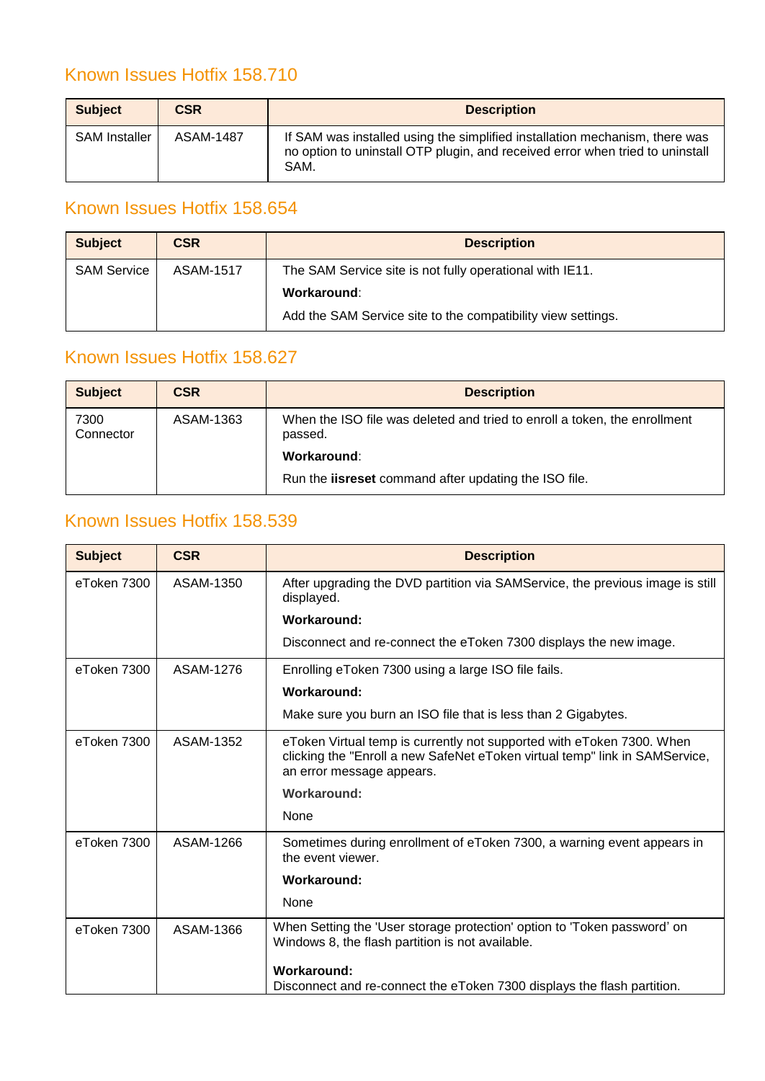### <span id="page-23-0"></span>Known Issues Hotfix 158.710

| <b>Subject</b>       | <b>CSR</b> | <b>Description</b>                                                                                                                                                   |
|----------------------|------------|----------------------------------------------------------------------------------------------------------------------------------------------------------------------|
| <b>SAM Installer</b> | ASAM-1487  | If SAM was installed using the simplified installation mechanism, there was<br>no option to uninstall OTP plugin, and received error when tried to uninstall<br>SAM. |

### <span id="page-23-1"></span>Known Issues Hotfix 158.654

| <b>Subject</b>     | <b>CSR</b> | <b>Description</b>                                           |  |
|--------------------|------------|--------------------------------------------------------------|--|
| <b>SAM Service</b> | ASAM-1517  | The SAM Service site is not fully operational with IE11.     |  |
|                    |            | Workaround:                                                  |  |
|                    |            | Add the SAM Service site to the compatibility view settings. |  |

#### <span id="page-23-2"></span>Known Issues Hotfix 158.627

| <b>Subject</b>    | <b>CSR</b> | <b>Description</b>                                                                   |  |
|-------------------|------------|--------------------------------------------------------------------------------------|--|
| 7300<br>Connector | ASAM-1363  | When the ISO file was deleted and tried to enroll a token, the enrollment<br>passed. |  |
|                   |            | Workaround:                                                                          |  |
|                   |            | Run the <b>iisreset</b> command after updating the ISO file.                         |  |

### <span id="page-23-3"></span>Known Issues Hotfix 158.539

| <b>Subject</b> | <b>CSR</b> | <b>Description</b>                                                                                                                                                                |
|----------------|------------|-----------------------------------------------------------------------------------------------------------------------------------------------------------------------------------|
| eToken 7300    | ASAM-1350  | After upgrading the DVD partition via SAMService, the previous image is still<br>displayed.                                                                                       |
|                |            | Workaround:                                                                                                                                                                       |
|                |            | Disconnect and re-connect the eToken 7300 displays the new image.                                                                                                                 |
| eToken 7300    | ASAM-1276  | Enrolling eToken 7300 using a large ISO file fails.                                                                                                                               |
|                |            | Workaround:                                                                                                                                                                       |
|                |            | Make sure you burn an ISO file that is less than 2 Gigabytes.                                                                                                                     |
| eToken 7300    | ASAM-1352  | eToken Virtual temp is currently not supported with eToken 7300. When<br>clicking the "Enroll a new SafeNet eToken virtual temp" link in SAMService,<br>an error message appears. |
|                |            | Workaround:                                                                                                                                                                       |
|                |            | None                                                                                                                                                                              |
| eToken 7300    | ASAM-1266  | Sometimes during enrollment of eToken 7300, a warning event appears in<br>the event viewer.                                                                                       |
|                |            | <b>Workaround:</b>                                                                                                                                                                |
|                |            | None                                                                                                                                                                              |
| eToken 7300    | ASAM-1366  | When Setting the 'User storage protection' option to 'Token password' on<br>Windows 8, the flash partition is not available.                                                      |
|                |            | Workaround:                                                                                                                                                                       |
|                |            | Disconnect and re-connect the eToken 7300 displays the flash partition.                                                                                                           |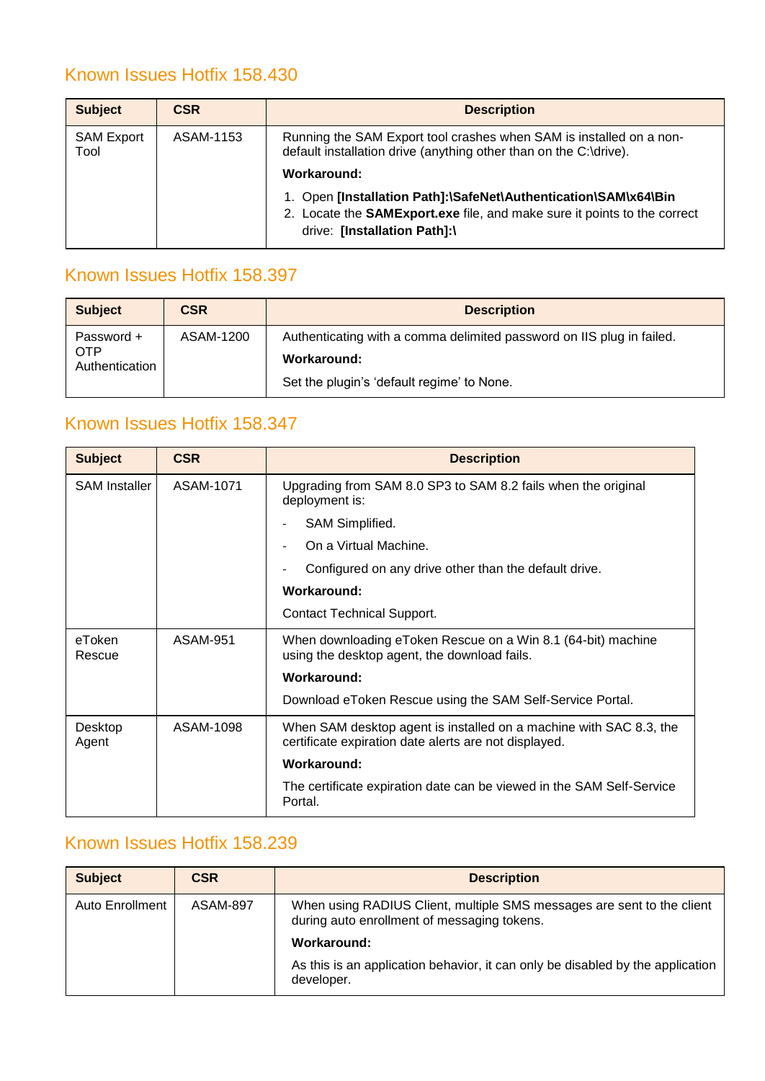### <span id="page-24-0"></span>Known Issues Hotfix 158.430

| <b>Subject</b>            | <b>CSR</b> | <b>Description</b>                                                                                                                                                                 |  |
|---------------------------|------------|------------------------------------------------------------------------------------------------------------------------------------------------------------------------------------|--|
| <b>SAM Export</b><br>Tool | ASAM-1153  | Running the SAM Export tool crashes when SAM is installed on a non-<br>default installation drive (anything other than on the C:\drive).<br>Workaround:                            |  |
|                           |            | 1. Open [Installation Path]:\SafeNet\Authentication\SAM\x64\Bin<br>2. Locate the <b>SAMExport.exe</b> file, and make sure it points to the correct<br>drive: [Installation Path]:\ |  |

#### <span id="page-24-1"></span>Known Issues Hotfix 158.397

| <b>Subject</b>               | <b>CSR</b> | <b>Description</b>                                                    |
|------------------------------|------------|-----------------------------------------------------------------------|
| Password +                   | ASAM-1200  | Authenticating with a comma delimited password on IIS plug in failed. |
| <b>OTP</b><br>Authentication |            | Workaround:                                                           |
|                              |            | Set the plugin's 'default regime' to None.                            |

#### <span id="page-24-2"></span>Known Issues Hotfix 158.347

| <b>Subject</b>       | <b>CSR</b> | <b>Description</b>                                                                                                          |  |
|----------------------|------------|-----------------------------------------------------------------------------------------------------------------------------|--|
| <b>SAM Installer</b> | ASAM-1071  | Upgrading from SAM 8.0 SP3 to SAM 8.2 fails when the original<br>deployment is:                                             |  |
|                      |            | SAM Simplified.                                                                                                             |  |
|                      |            | On a Virtual Machine.                                                                                                       |  |
|                      |            | Configured on any drive other than the default drive.                                                                       |  |
|                      |            | Workaround:                                                                                                                 |  |
|                      |            | <b>Contact Technical Support.</b>                                                                                           |  |
| eToken<br>Rescue     | ASAM-951   | When downloading eToken Rescue on a Win 8.1 (64-bit) machine<br>using the desktop agent, the download fails.                |  |
|                      |            | Workaround:                                                                                                                 |  |
|                      |            | Download eToken Rescue using the SAM Self-Service Portal.                                                                   |  |
| Desktop<br>Agent     | ASAM-1098  | When SAM desktop agent is installed on a machine with SAC 8.3, the<br>certificate expiration date alerts are not displayed. |  |
|                      |            | Workaround:                                                                                                                 |  |
|                      |            | The certificate expiration date can be viewed in the SAM Self-Service<br>Portal.                                            |  |

#### <span id="page-24-3"></span>Known Issues Hotfix 158.239

| <b>Subject</b>  | <b>CSR</b>      | <b>Description</b>                                                                                                    |
|-----------------|-----------------|-----------------------------------------------------------------------------------------------------------------------|
| Auto Enrollment | <b>ASAM-897</b> | When using RADIUS Client, multiple SMS messages are sent to the client<br>during auto enrollment of messaging tokens. |
|                 |                 | Workaround:                                                                                                           |
|                 |                 | As this is an application behavior, it can only be disabled by the application<br>developer.                          |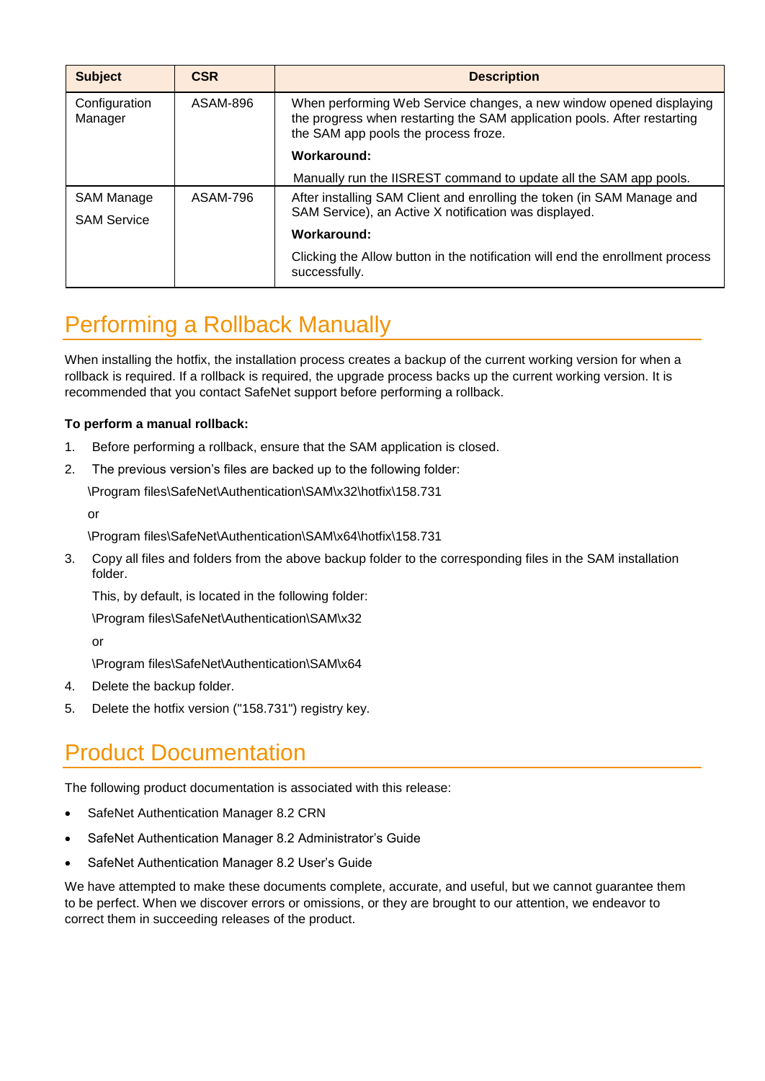| <b>Subject</b>           | <b>CSR</b>                                            | <b>Description</b>                                                                                                                                                                      |  |
|--------------------------|-------------------------------------------------------|-----------------------------------------------------------------------------------------------------------------------------------------------------------------------------------------|--|
| Configuration<br>Manager | ASAM-896                                              | When performing Web Service changes, a new window opened displaying<br>the progress when restarting the SAM application pools. After restarting<br>the SAM app pools the process froze. |  |
|                          |                                                       | Workaround:                                                                                                                                                                             |  |
|                          |                                                       | Manually run the IISREST command to update all the SAM app pools.                                                                                                                       |  |
| SAM Manage               | ASAM-796                                              | After installing SAM Client and enrolling the token (in SAM Manage and                                                                                                                  |  |
| <b>SAM Service</b>       | SAM Service), an Active X notification was displayed. |                                                                                                                                                                                         |  |
|                          |                                                       | Workaround:                                                                                                                                                                             |  |
|                          |                                                       | Clicking the Allow button in the notification will end the enrollment process<br>successfully.                                                                                          |  |

## <span id="page-25-0"></span>Performing a Rollback Manually

When installing the hotfix, the installation process creates a backup of the current working version for when a rollback is required. If a rollback is required, the upgrade process backs up the current working version. It is recommended that you contact SafeNet support before performing a rollback.

#### **To perform a manual rollback:**

- 1. Before performing a rollback, ensure that the SAM application is closed.
- 2. The previous version's files are backed up to the following folder:

\Program files\SafeNet\Authentication\SAM\x32\hotfix\158.731

or

\Program files\SafeNet\Authentication\SAM\x64\hotfix\158.731

3. Copy all files and folders from the above backup folder to the corresponding files in the SAM installation folder.

This, by default, is located in the following folder:

\Program files\SafeNet\Authentication\SAM\x32

or

\Program files\SafeNet\Authentication\SAM\x64

- 4. Delete the backup folder.
- 5. Delete the hotfix version ("158.731") registry key.

## <span id="page-25-1"></span>Product Documentation

The following product documentation is associated with this release:

- SafeNet Authentication Manager 8.2 CRN
- SafeNet Authentication Manager 8.2 Administrator's Guide
- SafeNet Authentication Manager 8.2 User's Guide

We have attempted to make these documents complete, accurate, and useful, but we cannot guarantee them to be perfect. When we discover errors or omissions, or they are brought to our attention, we endeavor to correct them in succeeding releases of the product.